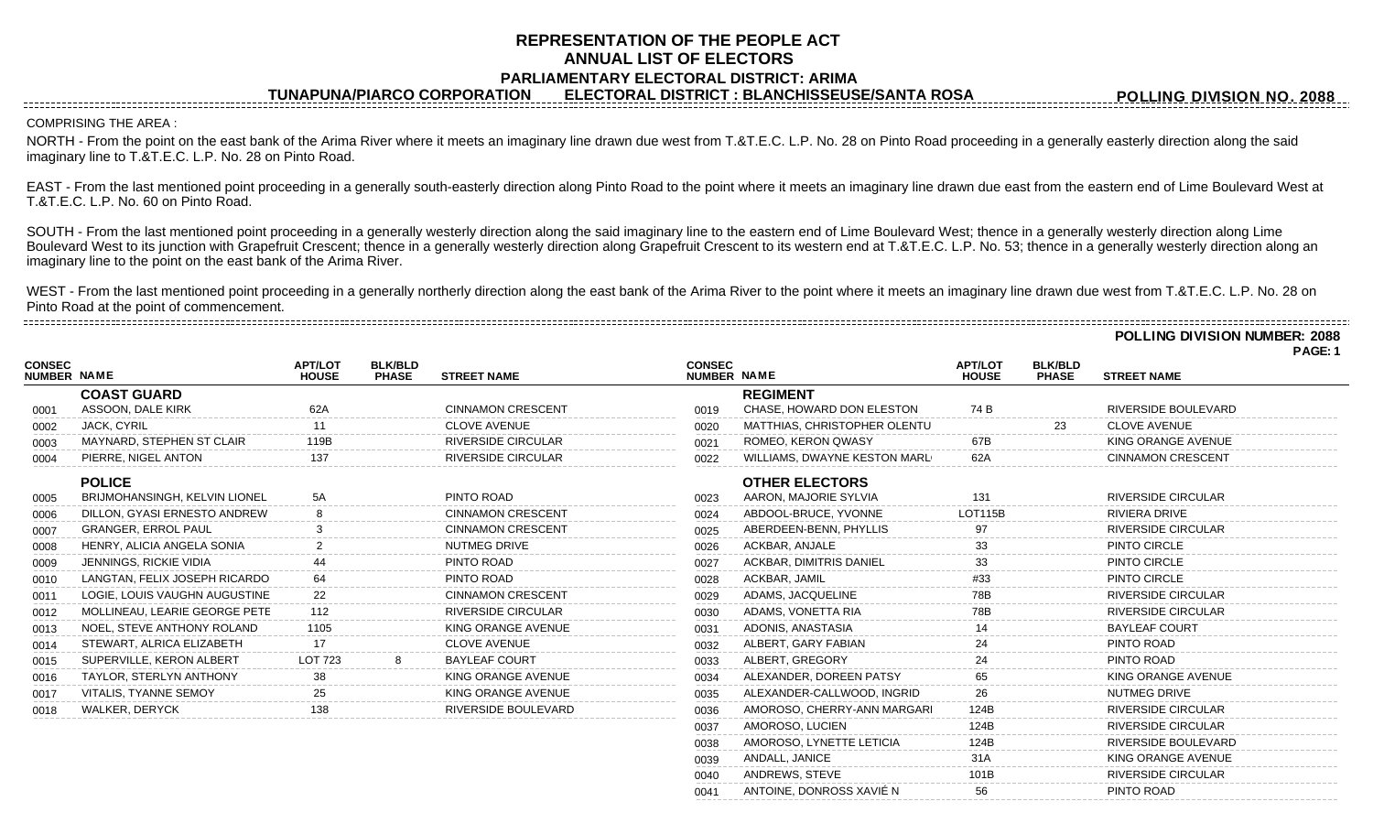## **REPRESENTATION OF THE PEOPLE ACT ANNUAL LIST OF ELECTORS PARLIAMENTARY ELECTORAL DISTRICT: ARIMA**

**TUNAPUNA/PIARCO CORPORATION ELECTORAL DISTRICT : BLANCHISSEUSE/SANTA ROSA**

COMPRISING THE AREA :

------------------------------------

**CONSEC**

NORTH - From the point on the east bank of the Arima River where it meets an imaginary line drawn due west from T.&T.E.C. L.P. No. 28 on Pinto Road proceeding in a generally easterly direction along the said imaginary line to T.&T.E.C. L.P. No. 28 on Pinto Road.

EAST - From the last mentioned point proceeding in a generally south-easterly direction along Pinto Road to the point where it meets an imaginary line drawn due east from the eastern end of Lime Boulevard West at T.&T.E.C. L.P. No. 60 on Pinto Road.

SOUTH - From the last mentioned point proceeding in a generally westerly direction along the said imaginary line to the eastern end of Lime Boulevard West; thence in a generally westerly direction along Lime Boulevard West to its junction with Grapefruit Crescent; thence in a generally westerly direction along Grapefruit Crescent to its western end at T.&T.E.C. L.P. No. 53; thence in a generally westerly direction along an imaginary line to the point on the east bank of the Arima River.

WEST - From the last mentioned point proceeding in a generally northerly direction along the east bank of the Arima River to the point where it meets an imaginary line drawn due west from T.&T.E.C. L.P. No. 28 on Pinto Road at the point of commencement.

**POLLING DIVISION NUMBER: 2088**

**POLLING DIVISION NO. 2088**

|                                     |                                                |                                |                                |                            |                              |                                                |                                |                                | PAGE: 1                    |
|-------------------------------------|------------------------------------------------|--------------------------------|--------------------------------|----------------------------|------------------------------|------------------------------------------------|--------------------------------|--------------------------------|----------------------------|
| <b>CONSEC</b><br><b>NUMBER NAME</b> |                                                | <b>APT/LOT</b><br><b>HOUSE</b> | <b>BLK/BLD</b><br><b>PHASE</b> | <b>STREET NAME</b>         | <b>CONSEC</b><br>NUMBER NAME |                                                | <b>APT/LOT</b><br><b>HOUSE</b> | <b>BLK/BLD</b><br><b>PHASE</b> | <b>STREET NAME</b>         |
|                                     | <b>COAST GUARD</b>                             |                                |                                |                            |                              | <b>REGIMENT</b>                                |                                |                                |                            |
| 0001                                | ASSOON, DALE KIRK                              | 62A                            |                                | <b>CINNAMON CRESCENT</b>   | 0019                         | CHASE, HOWARD DON ELESTON                      | 74 B                           |                                | <b>RIVERSIDE BOULEVARD</b> |
| 0002                                | <b>JACK, CYRIL</b>                             |                                |                                | <b>CLOVE AVENUE</b>        | 0020                         | MATTHIAS, CHRISTOPHER OLENTU                   |                                | 23                             | <b>CLOVE AVENUE</b>        |
| 0003                                | MAYNARD, STEPHEN ST CLAIR                      | 119 <sub>B</sub>               |                                | <b>RIVERSIDE CIRCULAR</b>  | 0021                         | ROMEO, KERON QWASY                             | 67B                            |                                | KING ORANGE AVENUE         |
| 0004                                | PIERRE, NIGEL ANTON                            | 137                            |                                | <b>RIVERSIDE CIRCULAR</b>  | 0022                         | WILLIAMS, DWAYNE KESTON MARL                   | 62A                            |                                | <b>CINNAMON CRESCENT</b>   |
| 0005                                | <b>POLICE</b><br>BRIJMOHANSINGH, KELVIN LIONEL | 5A                             |                                | PINTO ROAD                 | 0023                         | <b>OTHER ELECTORS</b><br>AARON, MAJORIE SYLVIA | 131                            |                                | <b>RIVERSIDE CIRCULAR</b>  |
| 0006                                | DILLON, GYASI ERNESTO ANDREW                   |                                |                                | <b>CINNAMON CRESCENT</b>   | 0024                         | ABDOOL-BRUCE, YVONNE                           | <b>LOT115B</b>                 |                                | <b>RIVIERA DRIVE</b>       |
| 0007                                | <b>GRANGER, ERROL PAUL</b>                     |                                |                                | <b>CINNAMON CRESCENT</b>   | 0025                         | ABERDEEN-BENN, PHYLLIS                         | 97                             |                                | <b>RIVERSIDE CIRCULAR</b>  |
| 0008                                | HENRY, ALICIA ANGELA SONIA                     |                                |                                | NUTMEG DRIVE               | 0026                         | ACKBAR, ANJALE                                 | 33                             |                                | PINTO CIRCLE               |
| 0009                                | JENNINGS, RICKIE VIDIA                         |                                |                                | PINTO ROAD                 | 0027                         | <b>ACKBAR, DIMITRIS DANIEL</b>                 |                                |                                | PINTO CIRCLE               |
| 0010                                | LANGTAN, FELIX JOSEPH RICARDO                  |                                |                                | PINTO ROAD                 | 0028                         | ACKBAR, JAMIL                                  | #33                            |                                | PINTO CIRCLE               |
| 0011                                | LOGIE, LOUIS VAUGHN AUGUSTINE                  | 22                             |                                | <b>CINNAMON CRESCENT</b>   | 0029                         | ADAMS, JACQUELINE                              | 78B                            |                                | RIVERSIDE CIRCULAR         |
| 0012                                | MOLLINEAU, LEARIE GEORGE PETE                  | 112                            |                                | <b>RIVERSIDE CIRCULAR</b>  | 0030                         | ADAMS, VONETTA RIA                             | 78B                            |                                | <b>RIVERSIDE CIRCULAR</b>  |
| 0013                                | NOEL, STEVE ANTHONY ROLAND                     | 1105                           |                                | KING ORANGE AVENUE         | 0031                         | ADONIS, ANASTASIA                              |                                |                                | <b>BAYLEAF COURT</b>       |
| 0014                                | STEWART, ALRICA ELIZABETH                      | 17                             |                                | <b>CLOVE AVENUE</b>        | 0032                         | ALBERT, GARY FABIAN                            | 24                             |                                | PINTO ROAD                 |
| 0015                                | SUPERVILLE, KERON ALBERT                       | LOT 723                        |                                | <b>BAYLEAF COURT</b>       | 0033                         | ALBERT, GREGORY                                |                                |                                | PINTO ROAD                 |
| 0016                                | TAYLOR, STERLYN ANTHONY                        | 38                             |                                | KING ORANGE AVENUE         | 0034                         | ALEXANDER, DOREEN PATSY                        | 65                             |                                | KING ORANGE AVENUE         |
| 0017                                | VITALIS, TYANNE SEMOY                          |                                |                                | KING ORANGE AVENUE         | 0035                         | ALEXANDER-CALLWOOD, INGRID                     | 26                             |                                | NUTMEG DRIVE               |
| 0018                                | <b>WALKER, DERYCK</b>                          | 138                            |                                | <b>RIVERSIDE BOULEVARD</b> | 0036                         | AMOROSO, CHERRY-ANN MARGARI                    | 124B                           |                                | <b>RIVERSIDE CIRCULAR</b>  |
|                                     |                                                |                                |                                |                            | 0037                         | AMOROSO, LUCIEN                                | 124B                           |                                | <b>RIVERSIDE CIRCULAR</b>  |
|                                     |                                                |                                |                                |                            | 0038                         | AMOROSO, LYNETTE LETICIA                       | 124B                           |                                | RIVERSIDE BOULEVARD        |

0039 ANDALL, JANICE 31A 31A KING ORANGE AVENUE 0040 ANDREWS, STEVE 101B 101B RIVERSIDE CIRCULAR

0041 ANTOINE, DONROSS XAVIÉ N 56 PINTO ROAD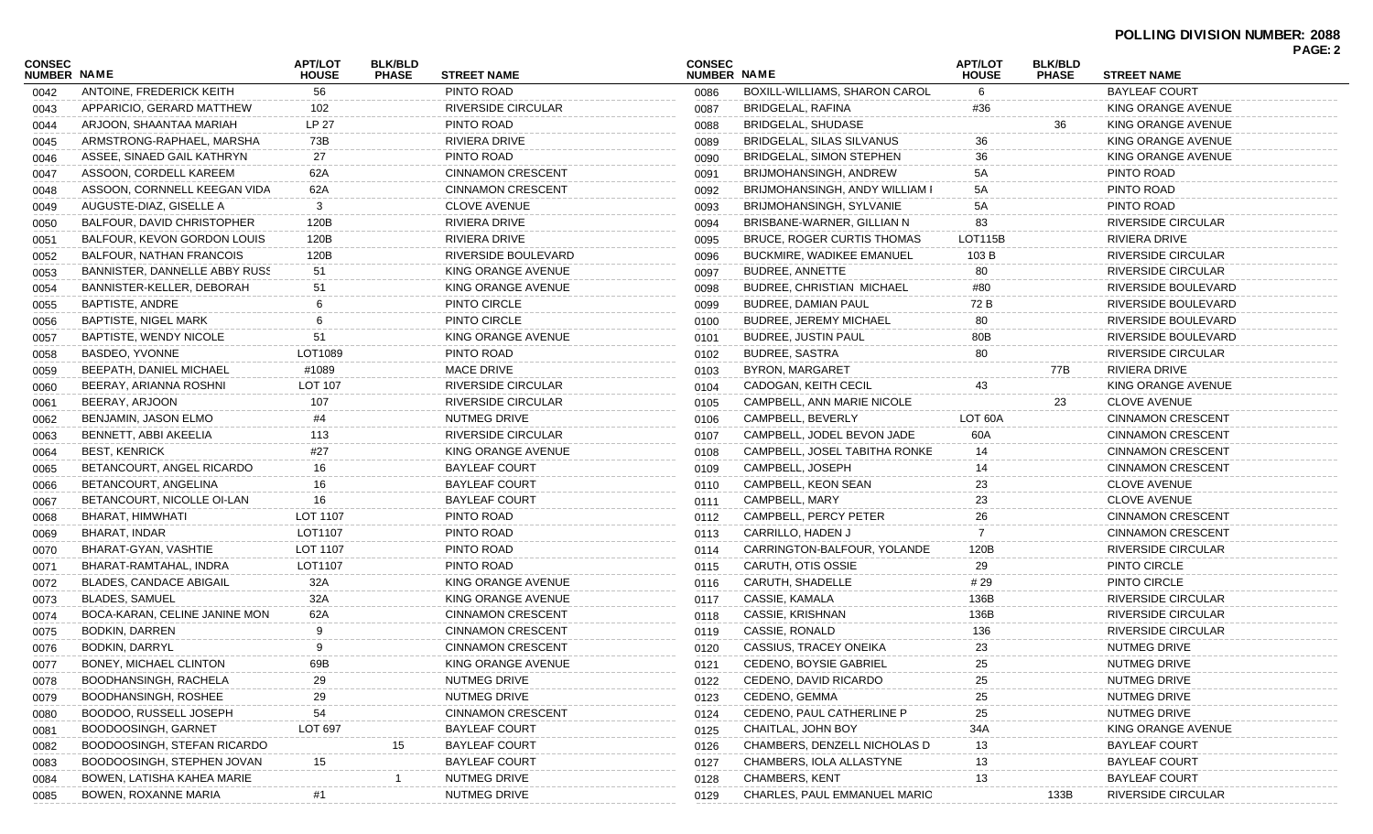| <b>CONSEC</b><br>NUMBER NAME |                                   | <b>APT/LOT</b><br><b>HOUSE</b> | <b>BLK/BLD</b><br><b>PHASE</b> | <b>STREET NAME</b>       | <b>CONSEC</b><br>NUMBER NAME |                                    | <b>APT/LOT</b><br><b>HOUSE</b> | <b>BLK/BLD</b><br><b>PHASE</b> | <b>STREET NAME</b>                 |  |
|------------------------------|-----------------------------------|--------------------------------|--------------------------------|--------------------------|------------------------------|------------------------------------|--------------------------------|--------------------------------|------------------------------------|--|
| 0042                         | ANTOINE, FREDERICK KEITH          | 56                             |                                | PINTO ROAD               | 0086                         | BOXILL-WILLIAMS, SHARON CAROL      | 6                              |                                | <b>BAYLEAF COURT</b>               |  |
| 0043                         | APPARICIO, GERARD MATTHEW         | 102                            |                                | RIVERSIDE CIRCULAR       | 0087                         | BRIDGELAL, RAFINA                  | #36                            |                                | KING ORANGE AVENUE                 |  |
| 0044                         | ARJOON, SHAANTAA MARIAH           | LP 27                          |                                | PINTO ROAD               | 0088                         | <b>BRIDGELAL, SHUDASE</b>          |                                | 36                             | KING ORANGE AVENUE                 |  |
| 0045                         | ARMSTRONG-RAPHAEL, MARSHA         | 73B                            |                                | RIVIERA DRIVE            | 0089                         | <b>BRIDGELAL, SILAS SILVANUS</b>   | 36                             |                                | KING ORANGE AVENUE                 |  |
| 0046                         | ASSEE, SINAED GAIL KATHRYN        | 27                             |                                | PINTO ROAD               | 0090                         | BRIDGELAL, SIMON STEPHEN           | 36                             |                                | KING ORANGE AVENUE                 |  |
| 0047                         | ASSOON, CORDELL KAREEM            | 62A                            |                                | <b>CINNAMON CRESCENT</b> | 0091                         | BRIJMOHANSINGH, ANDREW             | 5A                             |                                | PINTO ROAD                         |  |
| 0048                         | ASSOON, CORNNELL KEEGAN VIDA      | 62A                            |                                | <b>CINNAMON CRESCENT</b> | 0092                         | BRIJMOHANSINGH, ANDY WILLIAM I     | 5А                             |                                | PINTO ROAD                         |  |
| 0049                         | AUGUSTE-DIAZ, GISELLE A           | 3                              |                                | <b>CLOVE AVENUE</b>      | 0093                         | BRIJMOHANSINGH, SYLVANIE           | 5А                             |                                | PINTO ROAD                         |  |
| 0050                         | <b>BALFOUR, DAVID CHRISTOPHER</b> | 120B                           |                                | RIVIERA DRIVE            | 0094                         | BRISBANE-WARNER, GILLIAN N         | 83                             |                                | RIVERSIDE CIRCULAR                 |  |
| 0051                         | BALFOUR, KEVON GORDON LOUIS       | 120B                           |                                | RIVIERA DRIVE            | 0095                         | <b>BRUCE, ROGER CURTIS THOMAS</b>  | LOT115B                        |                                | RIVIERA DRIVE                      |  |
| 0052                         | <b>BALFOUR, NATHAN FRANCOIS</b>   | 120B                           |                                | RIVERSIDE BOULEVARD      | 0096                         | BUCKMIRE, WADIKEE EMANUEL          | 103 B                          |                                | RIVERSIDE CIRCULAR                 |  |
| 0053                         | BANNISTER, DANNELLE ABBY RUSS     | 51                             |                                | KING ORANGE AVENUE       | 0097                         | <b>BUDREE, ANNETTE</b>             | 80                             |                                | RIVERSIDE CIRCULAR                 |  |
| 0054                         | BANNISTER-KELLER, DEBORAH         | 51                             |                                | KING ORANGE AVENUE       | 0098                         | <b>BUDREE, CHRISTIAN MICHAEL</b>   | #80                            |                                | RIVERSIDE BOULEVARD                |  |
| 0055                         | <b>BAPTISTE, ANDRE</b>            |                                |                                | PINTO CIRCLE             | 0099                         | <b>BUDREE, DAMIAN PAUL</b>         | 72 B                           |                                | RIVERSIDE BOULEVARD                |  |
| 0056                         | BAPTISTE, NIGEL MARK              |                                |                                | PINTO CIRCLE             | 0100                         | <b>BUDREE, JEREMY MICHAEL</b>      | 80                             |                                | RIVERSIDE BOULEVARD                |  |
| 0057                         | BAPTISTE, WENDY NICOLE            | 51                             |                                | KING ORANGE AVENUE       | 0101                         | <b>BUDREE, JUSTIN PAUL</b>         | 80B                            |                                | RIVERSIDE BOULEVARD                |  |
| 0058                         | BASDEO, YVONNE                    | LOT1089                        |                                | PINTO ROAD               | 0102                         | <b>BUDREE, SASTRA</b>              | 80                             |                                | RIVERSIDE CIRCULAR                 |  |
| 0059                         | <b>BEEPATH, DANIEL MICHAEL</b>    | #1089                          |                                | <b>MACE DRIVE</b>        | 0103                         | <b>BYRON, MARGARET</b>             |                                | 77B                            | RIVIERA DRIVE                      |  |
| 0060                         | BEERAY, ARIANNA ROSHNI            | <b>LOT 107</b>                 |                                | RIVERSIDE CIRCULAR       | 0104                         | CADOGAN, KEITH CECIL               | 43                             |                                | KING ORANGE AVENUE                 |  |
| 0061                         | BEERAY, ARJOON                    | 107                            |                                | RIVERSIDE CIRCULAR       | 0105                         | CAMPBELL, ANN MARIE NICOLE         |                                | 23                             | <b>CLOVE AVENUE</b>                |  |
| 0062                         | BENJAMIN, JASON ELMO              | #4                             |                                | NUTMEG DRIVE             | 0106                         | CAMPBELL, BEVERLY                  | LOT 60A                        |                                | <b>CINNAMON CRESCENT</b>           |  |
| 0063                         | BENNETT, ABBI AKEELIA             | 113                            |                                | RIVERSIDE CIRCULAR       | 0107                         | CAMPBELL, JODEL BEVON JADE         | 60A                            |                                | <b>CINNAMON CRESCENT</b>           |  |
| 0064                         | <b>BEST, KENRICK</b>              | #27                            |                                | KING ORANGE AVENUE       | 0108                         | CAMPBELL, JOSEL TABITHA RONKE      | 14                             |                                | <b>CINNAMON CRESCENT</b>           |  |
| 0065                         | BETANCOURT, ANGEL RICARDO         | 16                             |                                | <b>BAYLEAF COURT</b>     | 0109                         | CAMPBELL, JOSEPH                   | 14                             |                                | <b>CINNAMON CRESCENT</b>           |  |
| 0066                         | BETANCOURT, ANGELINA              | 16                             |                                | <b>BAYLEAF COURT</b>     | 0110                         | CAMPBELL, KEON SEAN                | 23                             |                                | <b>CLOVE AVENUE</b>                |  |
| 0067                         | BETANCOURT, NICOLLE OI-LAN        | 16                             |                                | <b>BAYLEAF COURT</b>     | 0111                         | CAMPBELL, MARY                     | 23                             |                                | <b>CLOVE AVENUE</b>                |  |
| 0068                         | BHARAT, HIMWHATI                  | LOT 1107                       |                                | PINTO ROAD               | 0112                         | CAMPBELL, PERCY PETER              | 26                             |                                | <b>CINNAMON CRESCENT</b>           |  |
| 0069                         | BHARAT, INDAR                     | LOT1107                        |                                | PINTO ROAD               | 0113                         | CARRILLO, HADEN J                  |                                |                                | <b>CINNAMON CRESCENT</b>           |  |
|                              | BHARAT-GYAN, VASHTIE              | LOT 1107                       |                                | PINTO ROAD               | 0114                         | CARRINGTON-BALFOUR, YOLANDE        | 120B                           |                                | RIVERSIDE CIRCULAR                 |  |
| 0070                         | BHARAT-RAMTAHAL, INDRA            | LOT1107                        |                                | PINTO ROAD               | 0115                         | CARUTH, OTIS OSSIE                 | 29                             |                                | PINTO CIRCLE                       |  |
| 0071                         | <b>BLADES, CANDACE ABIGAIL</b>    |                                |                                | KING ORANGE AVENUE       |                              | CARUTH, SHADELLE                   | # 29                           |                                | PINTO CIRCLE                       |  |
| 0072                         | BLADES, SAMUEL                    | 32A<br>32A                     |                                | KING ORANGE AVENUE       | 0116                         | CASSIE, KAMALA                     | 136B                           |                                | RIVERSIDE CIRCULAR                 |  |
| 0073                         | BOCA-KARAN, CELINE JANINE MON     |                                |                                |                          | 0117                         |                                    |                                |                                |                                    |  |
| 0074                         |                                   | 62A                            |                                | <b>CINNAMON CRESCENT</b> | 0118                         | CASSIE, KRISHNAN<br>CASSIE, RONALD | 136B                           |                                | RIVERSIDE CIRCULAR                 |  |
| 0075                         | <b>BODKIN, DARREN</b>             |                                |                                | <b>CINNAMON CRESCENT</b> | 0119                         |                                    | 136                            |                                | RIVERSIDE CIRCULAR<br>NUTMEG DRIVE |  |
| 0076                         | <b>BODKIN, DARRYL</b>             |                                |                                | <b>CINNAMON CRESCENT</b> | 0120                         | CASSIUS, TRACEY ONEIKA             | 23                             |                                |                                    |  |
| 0077                         | BONEY, MICHAEL CLINTON            | 69B                            |                                | KING ORANGE AVENUE       | 0121                         | CEDENO, BOYSIE GABRIEL             |                                |                                | NUTMEG DRIVE                       |  |
| 0078                         | BOODHANSINGH, RACHELA             | 29                             |                                | NUTMEG DRIVE             | 0122                         | CEDENO, DAVID RICARDO              | 25                             |                                | NUTMEG DRIVE                       |  |
| 0079                         | BOODHANSINGH, ROSHEE              | 29                             |                                | NUTMEG DRIVE             | 0123                         | CEDENO, GEMMA                      | 25                             |                                | NUTMEG DRIVE                       |  |
| 0080                         | BOODOO, RUSSELL JOSEPH            | 54                             |                                | <b>CINNAMON CRESCENT</b> | 0124                         | CEDENO, PAUL CATHERLINE P          | 25                             |                                | NUTMEG DRIVE                       |  |
| 0081                         | <b>BOODOOSINGH, GARNET</b>        | <b>LOT 697</b>                 |                                | <b>BAYLEAF COURT</b>     | 0125                         | CHAITLAL, JOHN BOY                 | 34A                            |                                | KING ORANGE AVENUE                 |  |
| 0082                         | BOODOOSINGH, STEFAN RICARDO       |                                | 15                             | <b>BAYLEAF COURT</b>     | 0126                         | CHAMBERS, DENZELL NICHOLAS D       | 13                             |                                | BAYLEAF COURT                      |  |
| 0083                         | BOODOOSINGH, STEPHEN JOVAN        | 15                             |                                | <b>BAYLEAF COURT</b>     | 0127                         | CHAMBERS, IOLA ALLASTYNE           | 13                             |                                | <b>BAYLEAF COURT</b>               |  |
| 0084                         | BOWEN, LATISHA KAHEA MARIE        |                                |                                | NUTMEG DRIVE             | 0128                         | <b>CHAMBERS, KENT</b>              | 13                             |                                | <b>BAYLEAF COURT</b>               |  |
| 0085                         | <b>BOWEN, ROXANNE MARIA</b>       |                                |                                | NUTMEG DRIVE             | 0129                         | CHARLES, PAUL EMMANUEL MARIO       |                                | 133B                           | RIVERSIDE CIRCULAR                 |  |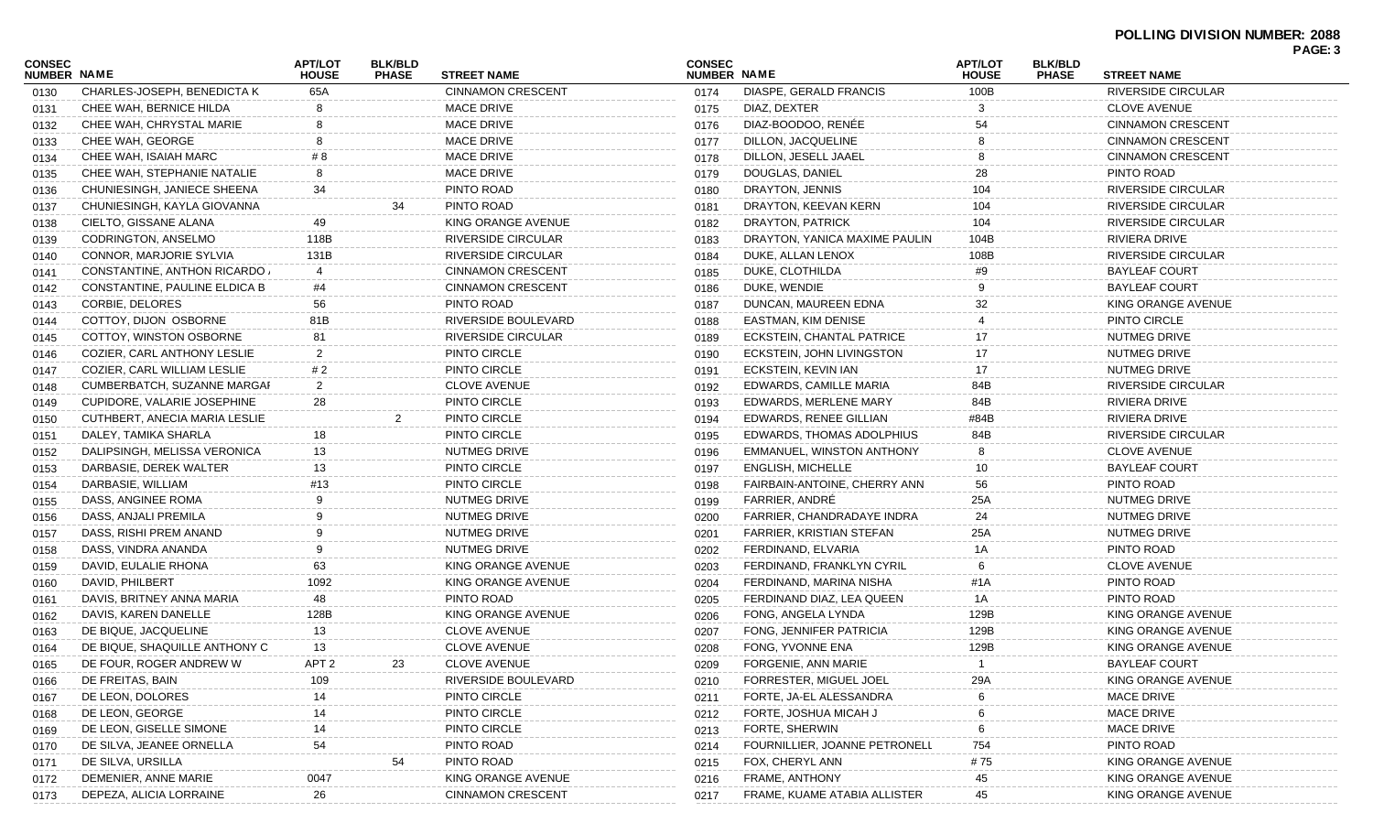| <b>CONSEC</b> |                               | APT/LOT          | <b>BLK/BLD</b> |                           | <b>CONSEC</b> |                               | <b>APT/LOT</b> | <b>BLK/BLD</b> |                           | PAGE: 3 |
|---------------|-------------------------------|------------------|----------------|---------------------------|---------------|-------------------------------|----------------|----------------|---------------------------|---------|
| NUMBER NAME   |                               | <b>HOUSE</b>     | <b>PHASE</b>   | <b>STREET NAME</b>        | NUMBER NAME   |                               | <b>HOUSE</b>   | <b>PHASE</b>   | <b>STREET NAME</b>        |         |
| 0130          | CHARLES-JOSEPH, BENEDICTA K   | 65A              |                | <b>CINNAMON CRESCENT</b>  | 0174          | DIASPE, GERALD FRANCIS        | 100B           |                | <b>RIVERSIDE CIRCULAR</b> |         |
| 0131          | CHEE WAH, BERNICE HILDA       |                  |                | <b>MACE DRIVE</b>         | 0175          | DIAZ, DEXTER                  |                |                | <b>CLOVE AVENUE</b>       |         |
| 0132          | CHEE WAH, CHRYSTAL MARIE      |                  |                | <b>MACE DRIVE</b>         | 0176          | DIAZ-BOODOO, RENÉE            | 54             |                | <b>CINNAMON CRESCENT</b>  |         |
| 0133          | CHEE WAH, GEORGE              | 8                |                | <b>MACE DRIVE</b>         | 0177          | DILLON, JACQUELINE            |                |                | <b>CINNAMON CRESCENT</b>  |         |
| 0134          | CHEE WAH, ISAIAH MARC         | # 8              |                | <b>MACE DRIVE</b>         | 0178          | DILLON, JESELL JAAEL          |                |                | <b>CINNAMON CRESCENT</b>  |         |
| 0135          | CHEE WAH, STEPHANIE NATALIE   | 8                |                | <b>MACE DRIVE</b>         | 0179          | DOUGLAS, DANIEL               | 28             |                | PINTO ROAD                |         |
| 0136          | CHUNIESINGH, JANIECE SHEENA   | 34               |                | PINTO ROAD                | 0180          | DRAYTON, JENNIS               | 104            |                | <b>RIVERSIDE CIRCULAR</b> |         |
| 0137          | CHUNIESINGH, KAYLA GIOVANNA   |                  | 34             | PINTO ROAD                | 0181          | DRAYTON, KEEVAN KERN          | 104            |                | RIVERSIDE CIRCULAR        |         |
| 0138          | CIELTO, GISSANE ALANA         | 49               |                | KING ORANGE AVENUE        | 0182          | DRAYTON, PATRICK              | 104            |                | RIVERSIDE CIRCULAR        |         |
| 0139          | <b>CODRINGTON, ANSELMO</b>    | 118B             |                | <b>RIVERSIDE CIRCULAR</b> | 0183          | DRAYTON, YANICA MAXIME PAULIN | 104B           |                | RIVIERA DRIVE             |         |
| 0140          | CONNOR, MARJORIE SYLVIA       | 131B             |                | <b>RIVERSIDE CIRCULAR</b> | 0184          | DUKE, ALLAN LENOX             | 108B           |                | RIVERSIDE CIRCULAR        |         |
| 0141          | CONSTANTINE, ANTHON RICARDO   |                  |                | <b>CINNAMON CRESCENT</b>  | 0185          | DUKE, CLOTHILDA               | #9             |                | BAYLEAF COURT             |         |
| 0142          | CONSTANTINE, PAULINE ELDICA B | #4               |                | <b>CINNAMON CRESCENT</b>  | 0186          | DUKE, WENDIE                  |                |                | <b>BAYLEAF COURT</b>      |         |
| 0143          | CORBIE, DELORES               | 56               |                | PINTO ROAD                | 0187          | DUNCAN, MAUREEN EDNA          | 32             |                | KING ORANGE AVENUE        |         |
| 0144          | COTTOY, DIJON OSBORNE         | 81B              |                | RIVERSIDE BOULEVARD       | 0188          | EASTMAN, KIM DENISE           |                |                | PINTO CIRCLE              |         |
| 0145          | COTTOY, WINSTON OSBORNE       | 81               |                | <b>RIVERSIDE CIRCULAR</b> | 0189          | ECKSTEIN, CHANTAL PATRICE     |                |                | NUTMEG DRIVE              |         |
| 0146          | COZIER, CARL ANTHONY LESLIE   | $\overline{2}$   |                | PINTO CIRCLE              | 0190          | ECKSTEIN, JOHN LIVINGSTON     | 17             |                | NUTMEG DRIVE              |         |
| 0147          | COZIER, CARL WILLIAM LESLIE   | # 2              |                | PINTO CIRCLE              | 0191          | ECKSTEIN, KEVIN IAN           | 17             |                | NUTMEG DRIVE              |         |
| 0148          | CUMBERBATCH, SUZANNE MARGAF   | 2                |                | <b>CLOVE AVENUE</b>       | 0192          | EDWARDS, CAMILLE MARIA        | 84B            |                | RIVERSIDE CIRCULAR        |         |
| 0149          | CUPIDORE, VALARIE JOSEPHINE   | 28               |                | PINTO CIRCLE              | 0193          | EDWARDS, MERLENE MARY         | 84B            |                | RIVIERA DRIVE             |         |
| 0150          | CUTHBERT, ANECIA MARIA LESLIE |                  | 2              | PINTO CIRCLE              | 0194          | EDWARDS, RENEE GILLIAN        | #84B           |                | RIVIERA DRIVE             |         |
| 0151          | DALEY, TAMIKA SHARLA          | 18               |                | PINTO CIRCLE              | 0195          | EDWARDS, THOMAS ADOLPHIUS     | 84B            |                | RIVERSIDE CIRCULAR        |         |
| 0152          | DALIPSINGH, MELISSA VERONICA  | 13               |                | NUTMEG DRIVE              | 0196          | EMMANUEL, WINSTON ANTHONY     |                |                | <b>CLOVE AVENUE</b>       |         |
| 0153          | DARBASIE, DEREK WALTER        | 13               |                | PINTO CIRCLE              | 0197          | <b>ENGLISH, MICHELLE</b>      | 10             |                | <b>BAYLEAF COURT</b>      |         |
| 0154          | DARBASIE, WILLIAM             | #13              |                | PINTO CIRCLE              | 0198          | FAIRBAIN-ANTOINE, CHERRY ANN  | 56             |                | PINTO ROAD                |         |
|               | DASS, ANGINEE ROMA            | $\mathbf{Q}$     |                | NUTMEG DRIVE              | 0199          | FARRIER, ANDRÉ                | 25A            |                | NUTMEG DRIVE              |         |
| 0155          | DASS, ANJALI PREMILA          |                  |                | NUTMEG DRIVE              |               | FARRIER, CHANDRADAYE INDRA    | 24             |                | NUTMEG DRIVE              |         |
| 0156          |                               |                  |                | NUTMEG DRIVE              | 0200          | FARRIER, KRISTIAN STEFAN      |                |                | NUTMEG DRIVE              |         |
| 0157          | DASS, RISHI PREM ANAND        | 9                |                |                           | 0201          |                               | 25A            |                |                           |         |
| 0158          | DASS, VINDRA ANANDA           |                  |                | NUTMEG DRIVE              | 0202          | FERDINAND, ELVARIA            | 1A             |                | PINTO ROAD                |         |
| 0159          | DAVID, EULALIE RHONA          | 63               |                | KING ORANGE AVENUE        | 0203          | FERDINAND, FRANKLYN CYRIL     |                |                | <b>CLOVE AVENUE</b>       |         |
| 0160          | DAVID, PHILBERT               | 1092             |                | KING ORANGE AVENUE        | 0204          | FERDINAND, MARINA NISHA       | #1A            |                | PINTO ROAD                |         |
| 0161          | DAVIS, BRITNEY ANNA MARIA     | 48               |                | PINTO ROAD                | 0205          | FERDINAND DIAZ, LEA QUEEN     | 1A             |                | PINTO ROAD                |         |
| 0162          | DAVIS, KAREN DANELLE          | 128B             |                | KING ORANGE AVENUE        | 0206          | FONG, ANGELA LYNDA            | 129B           |                | KING ORANGE AVENUE        |         |
| 0163          | DE BIQUE, JACQUELINE          | 13               |                | <b>CLOVE AVENUE</b>       | 0207          | FONG, JENNIFER PATRICIA       | 129B           |                | KING ORANGE AVENUE        |         |
| 0164          | DE BIQUE, SHAQUILLE ANTHONY C | 13               |                | <b>CLOVE AVENUE</b>       | 0208          | FONG, YVONNE ENA              | 129B           |                | KING ORANGE AVENUE        |         |
| 0165          | DE FOUR, ROGER ANDREW W       | APT <sub>2</sub> | 23             | <b>CLOVE AVENUE</b>       | 0209          | FORGENIE, ANN MARIE           | $\overline{1}$ |                | <b>BAYLEAF COURT</b>      |         |
| 0166          | DE FREITAS, BAIN              | 109              |                | RIVERSIDE BOULEVARD       | 0210          | FORRESTER, MIGUEL JOEL        | 29A            |                | KING ORANGE AVENUE        |         |
| 0167          | DE LEON, DOLORES              | 14               |                | PINTO CIRCLE              | 0211          | FORTE, JA-EL ALESSANDRA       |                |                | <b>MACE DRIVE</b>         |         |
| 0168          | DE LEON, GEORGE               | 14               |                | PINTO CIRCLE              | 0212          | FORTE, JOSHUA MICAH J         |                |                | <b>MACE DRIVE</b>         |         |
| 0169          | DE LEON, GISELLE SIMONE       | 14               |                | PINTO CIRCLE              | 0213          | FORTE, SHERWIN                |                |                | <b>MACE DRIVE</b>         |         |
| 0170          | DE SILVA, JEANEE ORNELLA      | 54               |                | PINTO ROAD                | 0214          | FOURNILLIER, JOANNE PETRONELL | 754            |                | PINTO ROAD                |         |
| 0171          | DE SILVA, URSILLA             |                  | 54             | PINTO ROAD                | 0215          | FOX, CHERYL ANN               | #75            |                | KING ORANGE AVENUE        |         |
| 0172          | DEMENIER, ANNE MARIE          | 0047             |                | KING ORANGE AVENUE        | 0216          | FRAME, ANTHONY                | 45             |                | KING ORANGE AVENUE        |         |
| 0173          | DEPEZA, ALICIA LORRAINE       | 26               |                | <b>CINNAMON CRESCENT</b>  | 0217          | FRAME, KUAME ATABIA ALLISTER  | 45             |                | KING ORANGE AVENUE        |         |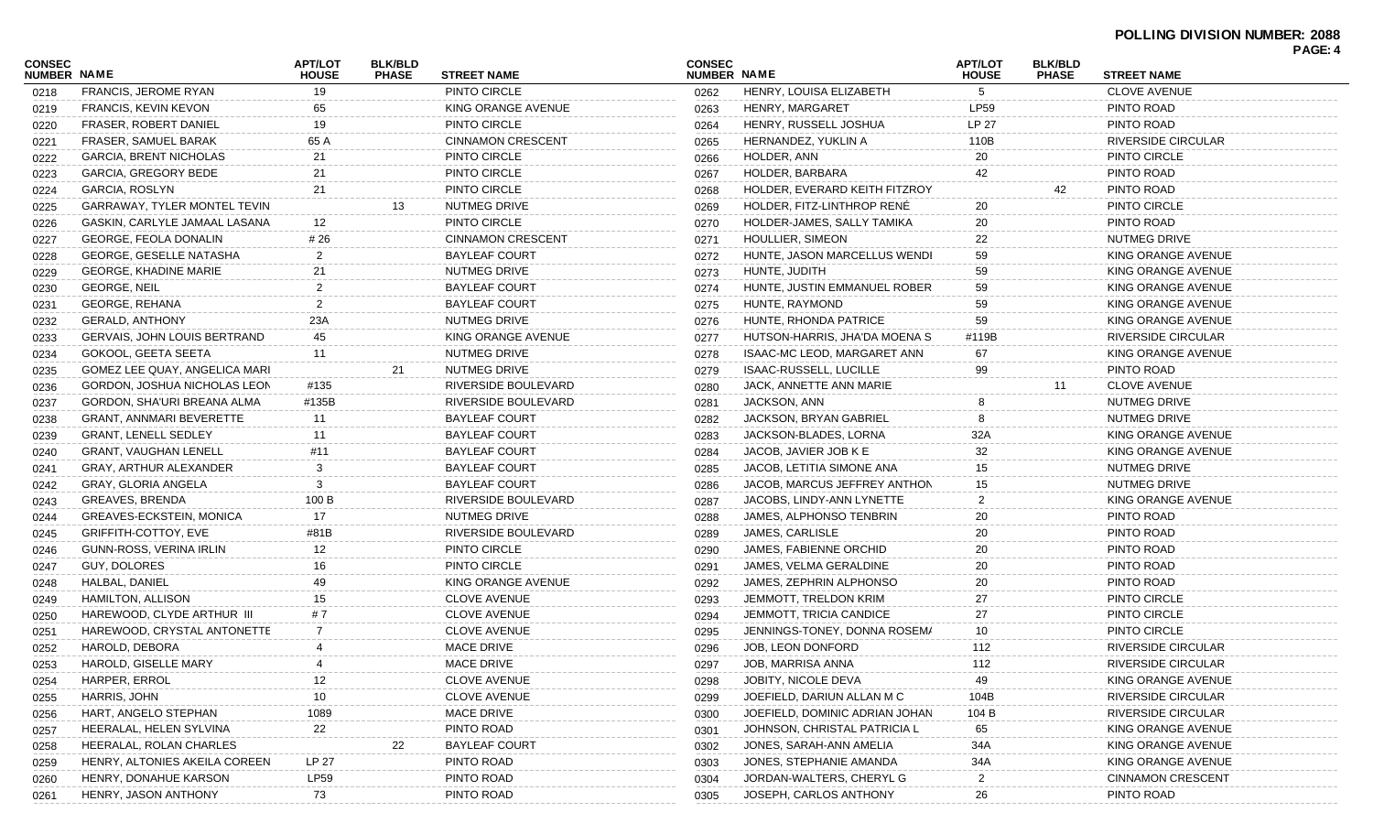|                              |                                     |                                |                                |                          |                              |                                |                                |                                |                           | PAGE: 4 |
|------------------------------|-------------------------------------|--------------------------------|--------------------------------|--------------------------|------------------------------|--------------------------------|--------------------------------|--------------------------------|---------------------------|---------|
| CONSEC<br><b>NUMBER NAME</b> |                                     | <b>APT/LOT</b><br><b>HOUSE</b> | <b>BLK/BLD</b><br><b>PHASE</b> | <b>STREET NAME</b>       | <b>CONSEC</b><br>NUMBER NAME |                                | <b>APT/LOT</b><br><b>HOUSE</b> | <b>BLK/BLD</b><br><b>PHASE</b> | <b>STREET NAME</b>        |         |
| 0218                         | FRANCIS, JEROME RYAN                | 19                             |                                | PINTO CIRCLE             | 0262                         | HENRY, LOUISA ELIZABETH        | 5                              |                                | <b>CLOVE AVENUE</b>       |         |
| 0219                         | <b>FRANCIS, KEVIN KEVON</b>         | 65                             |                                | KING ORANGE AVENUE       | 0263                         | HENRY, MARGARET                | LP59                           |                                | PINTO ROAD                |         |
| 0220                         | <b>FRASER, ROBERT DANIEL</b>        | 19                             |                                | PINTO CIRCLE             | 0264                         | HENRY, RUSSELL JOSHUA          | LP 27                          |                                | PINTO ROAD                |         |
| 0221                         | FRASER, SAMUEL BARAK                | 65 A                           |                                | <b>CINNAMON CRESCENT</b> | 0265                         | HERNANDEZ, YUKLIN A            | 110B                           |                                | <b>RIVERSIDE CIRCULAR</b> |         |
| 0222                         | <b>GARCIA, BRENT NICHOLAS</b>       | 21                             |                                | PINTO CIRCLE             | 0266                         | HOLDER, ANN                    | 20                             |                                | PINTO CIRCLE              |         |
| 0223                         | GARCIA, GREGORY BEDE                | 21                             |                                | PINTO CIRCLE             | 0267                         | HOLDER, BARBARA                | 42                             |                                | PINTO ROAD                |         |
| 0224                         | GARCIA, ROSLYN                      | 21                             |                                | PINTO CIRCLE             | 0268                         | HOLDER, EVERARD KEITH FITZROY  |                                | 42                             | PINTO ROAD                |         |
| 0225                         | GARRAWAY, TYLER MONTEL TEVIN        |                                | 13                             | NUTMEG DRIVE             | 0269                         | HOLDER, FITZ-LINTHROP RENÉ     | 20                             |                                | PINTO CIRCLE              |         |
| 0226                         | GASKIN, CARLYLE JAMAAL LASANA       | 12                             |                                | PINTO CIRCLE             | 0270                         | HOLDER-JAMES, SALLY TAMIKA     | 20                             |                                | PINTO ROAD                |         |
| 0227                         | GEORGE, FEOLA DONALIN               | # 26                           |                                | <b>CINNAMON CRESCENT</b> | 0271                         | HOULLIER, SIMEON               | 22                             |                                | NUTMEG DRIVE              |         |
| 0228                         | GEORGE, GESELLE NATASHA             | $\overline{2}$                 |                                | <b>BAYLEAF COURT</b>     | 0272                         | HUNTE, JASON MARCELLUS WENDI   | 59                             |                                | KING ORANGE AVENUE        |         |
| 0229                         | <b>GEORGE, KHADINE MARIE</b>        | 21                             |                                | NUTMEG DRIVE             | 0273                         | HUNTE, JUDITH                  | 59                             |                                | KING ORANGE AVENUE        |         |
| 0230                         | <b>GEORGE, NEIL</b>                 | $\overline{2}$                 |                                | <b>BAYLEAF COURT</b>     | 0274                         | HUNTE, JUSTIN EMMANUEL ROBER   | 59                             |                                | KING ORANGE AVENUE        |         |
| 0231                         | GEORGE, REHANA                      | $\overline{2}$                 |                                | <b>BAYLEAF COURT</b>     | 0275                         | HUNTE, RAYMOND                 | 59                             |                                | KING ORANGE AVENUE        |         |
| 0232                         | <b>GERALD, ANTHONY</b>              | 23A                            |                                | NUTMEG DRIVE             | 0276                         | HUNTE, RHONDA PATRICE          | 59                             |                                | KING ORANGE AVENUE        |         |
| 0233                         | <b>GERVAIS, JOHN LOUIS BERTRAND</b> | 45                             |                                | KING ORANGE AVENUE       | 0277                         | HUTSON-HARRIS, JHA'DA MOENA S  | #119B                          |                                | RIVERSIDE CIRCULAR        |         |
| 0234                         | GOKOOL, GEETA SEETA                 | 11                             |                                | NUTMEG DRIVE             | 0278                         | ISAAC-MC LEOD, MARGARET ANN    | 67                             |                                | KING ORANGE AVENUE        |         |
| 0235                         | GOMEZ LEE QUAY, ANGELICA MARI       |                                | 21                             | NUTMEG DRIVE             | 0279                         | <b>ISAAC-RUSSELL, LUCILLE</b>  | 99                             |                                | PINTO ROAD                |         |
| 0236                         | GORDON, JOSHUA NICHOLAS LEON        | #135                           |                                | RIVERSIDE BOULEVARD      | 0280                         | JACK, ANNETTE ANN MARIE        |                                | 11                             | <b>CLOVE AVENUE</b>       |         |
| 0237                         | GORDON, SHA'URI BREANA ALMA         | #135B                          |                                | RIVERSIDE BOULEVARD      | 0281                         | JACKSON, ANN                   |                                |                                | NUTMEG DRIVE              |         |
| 0238                         | <b>GRANT, ANNMARI BEVERETTE</b>     | 11                             |                                | <b>BAYLEAF COURT</b>     | 0282                         | JACKSON, BRYAN GABRIEL         |                                |                                | NUTMEG DRIVE              |         |
| 0239                         | <b>GRANT, LENELL SEDLEY</b>         | 11                             |                                | <b>BAYLEAF COURT</b>     | 0283                         | JACKSON-BLADES, LORNA          | 32A                            |                                | KING ORANGE AVENUE        |         |
| 0240                         | <b>GRANT, VAUGHAN LENELL</b>        | #11                            |                                | <b>BAYLEAF COURT</b>     | 0284                         | JACOB, JAVIER JOB K E          | 32                             |                                | KING ORANGE AVENUE        |         |
| 0241                         | GRAY, ARTHUR ALEXANDER              | 3                              |                                | <b>BAYLEAF COURT</b>     | 0285                         | JACOB, LETITIA SIMONE ANA      | 15                             |                                | NUTMEG DRIVE              |         |
| 0242                         | GRAY, GLORIA ANGELA                 | 3                              |                                | <b>BAYLEAF COURT</b>     | 0286                         | JACOB, MARCUS JEFFREY ANTHON   | 15                             |                                | NUTMEG DRIVE              |         |
| 0243                         | GREAVES, BRENDA                     | 100 B                          |                                | RIVERSIDE BOULEVARD      | 0287                         | JACOBS, LINDY-ANN LYNETTE      | 2                              |                                | KING ORANGE AVENUE        |         |
| 0244                         | <b>GREAVES-ECKSTEIN, MONICA</b>     | 17                             |                                | NUTMEG DRIVE             | 0288                         | JAMES, ALPHONSO TENBRIN        | 20                             |                                | PINTO ROAD                |         |
| 0245                         | GRIFFITH-COTTOY, EVE                | #81B                           |                                | RIVERSIDE BOULEVARD      | 0289                         | JAMES, CARLISLE                | 20                             |                                | PINTO ROAD                |         |
| 0246                         | GUNN-ROSS, VERINA IRLIN             | 12                             |                                | PINTO CIRCLE             | 0290                         | JAMES, FABIENNE ORCHID         | 20                             |                                | PINTO ROAD                |         |
| 0247                         | GUY, DOLORES                        | 16                             |                                | PINTO CIRCLE             | 0291                         | JAMES, VELMA GERALDINE         | 20                             |                                | PINTO ROAD                |         |
| 0248                         | HALBAL, DANIEL                      | 49                             |                                | KING ORANGE AVENUE       | 0292                         | JAMES, ZEPHRIN ALPHONSO        | 20                             |                                | PINTO ROAD                |         |
| 0249                         | <b>HAMILTON, ALLISON</b>            | 15                             |                                | <b>CLOVE AVENUE</b>      | 0293                         | <b>JEMMOTT, TRELDON KRIM</b>   | 27                             |                                | PINTO CIRCLE              |         |
| 0250                         | HAREWOOD, CLYDE ARTHUR III          | #7                             |                                | <b>CLOVE AVENUE</b>      | 0294                         | <b>JEMMOTT, TRICIA CANDICE</b> | 27                             |                                | PINTO CIRCLE              |         |
| 0251                         | HAREWOOD, CRYSTAL ANTONETTE         | $\overline{7}$                 |                                | <b>CLOVE AVENUE</b>      | 0295                         | JENNINGS-TONEY, DONNA ROSEM/   | 10                             |                                | PINTO CIRCLE              |         |
| 0252                         | HAROLD, DEBORA                      | 4                              |                                | <b>MACE DRIVE</b>        | 0296                         | JOB, LEON DONFORD              | 112                            |                                | <b>RIVERSIDE CIRCULAR</b> |         |
| 0253                         | HAROLD, GISELLE MARY                | $\overline{4}$                 |                                | MACE DRIVE               | 0297                         | JOB, MARRISA ANNA              | 112                            |                                | RIVERSIDE CIRCULAR        |         |
| 0254                         | <b>HARPER, ERROL</b>                | 12                             |                                | <b>CLOVE AVENUE</b>      | 0298                         | <b>JOBITY, NICOLE DEVA</b>     | 49                             |                                | KING ORANGE AVENUE        |         |
| 0255                         | HARRIS, JOHN                        | 10                             |                                | <b>CLOVE AVENUE</b>      | 0299                         | JOEFIELD, DARIUN ALLAN M C     | 104B                           |                                | RIVERSIDE CIRCULAR        |         |
| 0256                         | HART, ANGELO STEPHAN                | 1089                           |                                | MACE DRIVE               | 0300                         | JOEFIELD, DOMINIC ADRIAN JOHAN | 104 B                          |                                | RIVERSIDE CIRCULAR        |         |
| 0257                         | HEERALAL, HELEN SYLVINA             | 22                             |                                | PINTO ROAD               | 0301                         | JOHNSON, CHRISTAL PATRICIA L   | 65                             |                                | KING ORANGE AVENUE        |         |
| 0258                         | HEERALAL, ROLAN CHARLES             |                                | 22                             | <b>BAYLEAF COURT</b>     | 0302                         | JONES, SARAH-ANN AMELIA        | 34A                            |                                | KING ORANGE AVENUE        |         |
| 0259                         | HENRY, ALTONIES AKEILA COREEN       | LP 27                          |                                | PINTO ROAD               | 0303                         | JONES, STEPHANIE AMANDA        | 34A                            |                                | KING ORANGE AVENUE        |         |
| 0260                         | HENRY, DONAHUE KARSON               | <b>LP59</b>                    |                                | PINTO ROAD               | 0304                         | JORDAN-WALTERS, CHERYL G       |                                |                                | <b>CINNAMON CRESCENT</b>  |         |
| 0261                         | HENRY, JASON ANTHONY                | 73                             |                                | PINTO ROAD               | 0305                         | JOSEPH, CARLOS ANTHONY         | 26                             |                                | PINTO ROAD                |         |
|                              |                                     |                                |                                |                          |                              |                                |                                |                                |                           |         |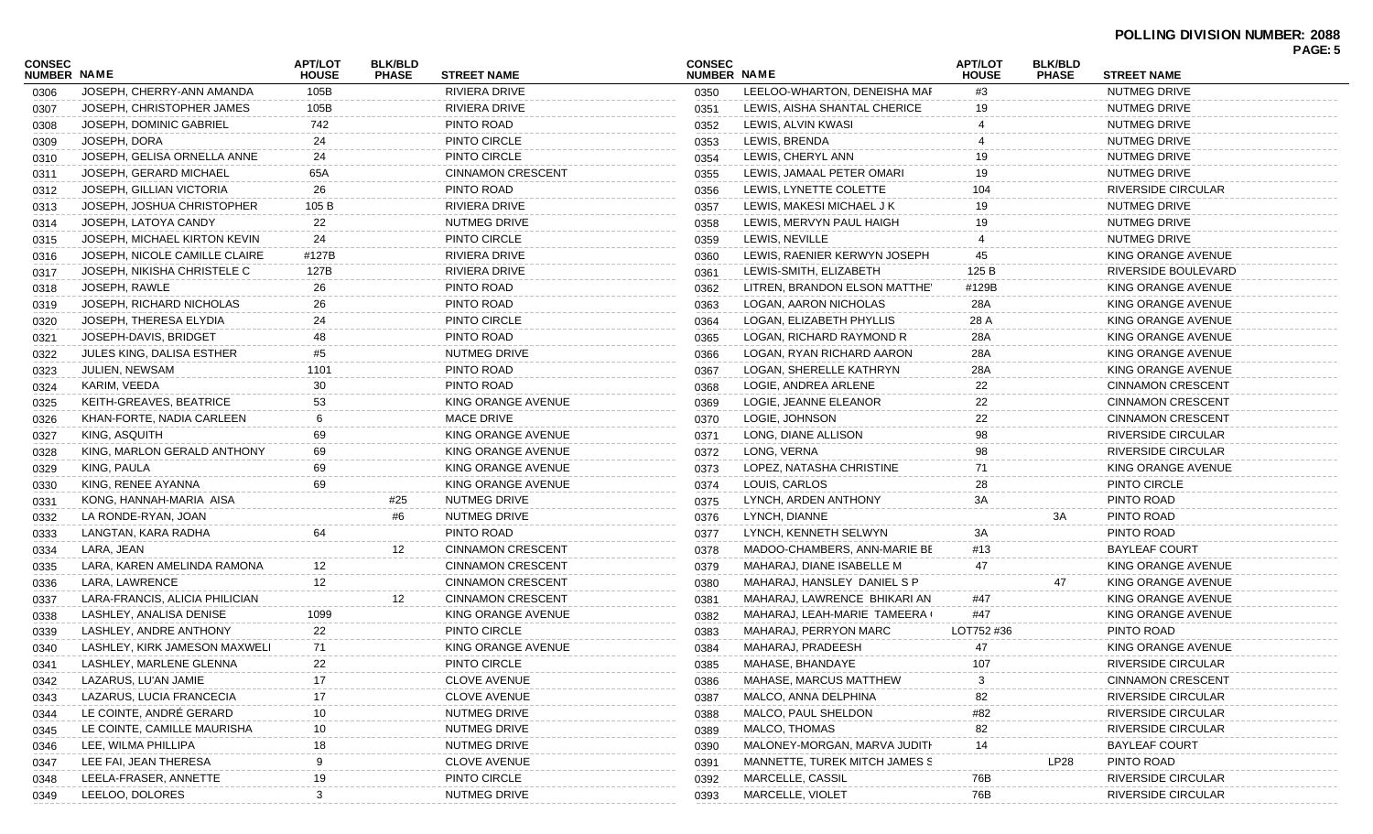## **POLLING DIVISION NUMBER: 2088**

| CONSEC      |                                | APT/LOT      | <b>BLK/BLD</b> |                          | <b>CONSEC</b> |                               | <b>APT/LOT</b> | <b>BLK/BLD</b> |                           | PAGE: 5 |
|-------------|--------------------------------|--------------|----------------|--------------------------|---------------|-------------------------------|----------------|----------------|---------------------------|---------|
| NUMBER NAME |                                | <b>HOUSE</b> | <b>PHASE</b>   | <b>STREET NAME</b>       | NUMBER NAME   |                               | <b>HOUSE</b>   | <b>PHASE</b>   | <b>STREET NAME</b>        |         |
| 0306        | JOSEPH, CHERRY-ANN AMANDA      | 105B         |                | RIVIERA DRIVE            | 0350          | LEELOO-WHARTON, DENEISHA MAF  | #3             |                | NUTMEG DRIVE              |         |
| 0307        | JOSEPH, CHRISTOPHER JAMES      | 105B         |                | RIVIERA DRIVE            | 0351          | LEWIS, AISHA SHANTAL CHERICE  | 19             |                | NUTMEG DRIVE              |         |
| 0308        | JOSEPH, DOMINIC GABRIEL        | 742          |                | PINTO ROAD               | 0352          | LEWIS, ALVIN KWASI            |                |                | NUTMEG DRIVE              |         |
| 0309        | JOSEPH, DORA                   | 24           |                | PINTO CIRCLE             | 0353          | LEWIS, BRENDA                 |                |                | NUTMEG DRIVE              |         |
| 0310        | JOSEPH, GELISA ORNELLA ANNE    | 24           |                | PINTO CIRCLE             | 0354          | LEWIS, CHERYL ANN             |                |                | NUTMEG DRIVE              |         |
| 0311        | JOSEPH, GERARD MICHAEL         | 65A          |                | <b>CINNAMON CRESCENT</b> | 0355          | LEWIS, JAMAAL PETER OMARI     | 19             |                | NUTMEG DRIVE              |         |
| 0312        | JOSEPH, GILLIAN VICTORIA       | 26           |                | PINTO ROAD               | 0356          | LEWIS, LYNETTE COLETTE        | 104            |                | RIVERSIDE CIRCULAR        |         |
| 0313        | JOSEPH, JOSHUA CHRISTOPHER     | 105 B        |                | RIVIERA DRIVE            | 0357          | LEWIS, MAKESI MICHAEL J K     | 19             |                | NUTMEG DRIVE              |         |
| 0314        | JOSEPH, LATOYA CANDY           | 22           |                | NUTMEG DRIVE             | 0358          | LEWIS, MERVYN PAUL HAIGH      | 19             |                | <b>NUTMEG DRIVE</b>       |         |
| 0315        | JOSEPH, MICHAEL KIRTON KEVIN   | 24           |                | PINTO CIRCLE             | 0359          | LEWIS, NEVILLE                |                |                | NUTMEG DRIVE              |         |
| 0316        | JOSEPH, NICOLE CAMILLE CLAIRE  | #127B        |                | RIVIERA DRIVE            | 0360          | LEWIS, RAENIER KERWYN JOSEPH  | 45             |                | KING ORANGE AVENUE        |         |
| 0317        | JOSEPH, NIKISHA CHRISTELE C    | 127B         |                | RIVIERA DRIVE            | 0361          | LEWIS-SMITH, ELIZABETH        | 125 B          |                | RIVERSIDE BOULEVARD       |         |
| 0318        | JOSEPH, RAWLE                  | 26           |                | PINTO ROAD               | 0362          | LITREN, BRANDON ELSON MATTHEY | #129B          |                | KING ORANGE AVENUE        |         |
| 0319        | JOSEPH, RICHARD NICHOLAS       | 26           |                | PINTO ROAD               | 0363          | LOGAN, AARON NICHOLAS         | 28A            |                | KING ORANGE AVENUE        |         |
| 0320        | JOSEPH, THERESA ELYDIA         | 24           |                | PINTO CIRCLE             | 0364          | LOGAN, ELIZABETH PHYLLIS      | 28 A           |                | KING ORANGE AVENUE        |         |
| 0321        | JOSEPH-DAVIS, BRIDGET          | 48           |                | PINTO ROAD               | 0365          | LOGAN, RICHARD RAYMOND R      | 28A            |                | KING ORANGE AVENUE        |         |
| 0322        | JULES KING, DALISA ESTHER      | #5           |                | NUTMEG DRIVE             | 0366          | LOGAN, RYAN RICHARD AARON     | 28A            |                | KING ORANGE AVENUE        |         |
| 0323        | JULIEN, NEWSAM                 | 1101         |                | PINTO ROAD               | 0367          | LOGAN, SHERELLE KATHRYN       | 28A            |                | KING ORANGE AVENUE        |         |
| 0324        | KARIM, VEEDA                   | 30           |                | PINTO ROAD               | 0368          | LOGIE, ANDREA ARLENE          | 22             |                | <b>CINNAMON CRESCENT</b>  |         |
| 0325        | KEITH-GREAVES, BEATRICE        | 53           |                | KING ORANGE AVENUE       | 0369          | LOGIE, JEANNE ELEANOR         | 22             |                | <b>CINNAMON CRESCENT</b>  |         |
| 0326        | KHAN-FORTE, NADIA CARLEEN      | 6            |                | <b>MACE DRIVE</b>        | 0370          | LOGIE, JOHNSON                | 22             |                | <b>CINNAMON CRESCENT</b>  |         |
| 0327        | KING, ASQUITH                  | 69           |                | KING ORANGE AVENUE       | 0371          | LONG, DIANE ALLISON           | 98             |                | RIVERSIDE CIRCULAR        |         |
| 0328        | KING, MARLON GERALD ANTHONY    | 69           |                | KING ORANGE AVENUE       | 0372          | LONG, VERNA                   | 98             |                | RIVERSIDE CIRCULAR        |         |
| 0329        | KING, PAULA                    | 69           |                | KING ORANGE AVENUE       | 0373          | LOPEZ, NATASHA CHRISTINE      | 71             |                | KING ORANGE AVENUE        |         |
| 0330        | KING, RENEE AYANNA             | 69           |                | KING ORANGE AVENUE       | 0374          | LOUIS, CARLOS                 | 28             |                | PINTO CIRCLE              |         |
|             | KONG, HANNAH-MARIA AISA        |              | #25            | NUTMEG DRIVE             | 0375          | LYNCH, ARDEN ANTHONY          | 3A             |                | PINTO ROAD                |         |
| 0331        | LA RONDE-RYAN, JOAN            |              | #6             | NUTMEG DRIVE             |               | LYNCH, DIANNE                 |                | ЗΑ             | PINTO ROAD                |         |
| 0332        | LANGTAN, KARA RADHA            | 64           |                | PINTO ROAD               | 0376          | LYNCH, KENNETH SELWYN         | ЗA             |                | PINTO ROAD                |         |
| 0333        |                                |              | 12             | <b>CINNAMON CRESCENT</b> | 0377          |                               | #13            |                | <b>BAYLEAF COURT</b>      |         |
| 0334        | LARA, JEAN                     |              |                |                          | 0378          | MADOO-CHAMBERS, ANN-MARIE BE  |                |                |                           |         |
| 0335        | LARA, KAREN AMELINDA RAMONA    | 12           |                | <b>CINNAMON CRESCENT</b> | 0379          | MAHARAJ, DIANE ISABELLE M     | 47             |                | KING ORANGE AVENUE        |         |
| 0336        | LARA, LAWRENCE                 | 12           |                | <b>CINNAMON CRESCENT</b> | 0380          | MAHARAJ, HANSLEY DANIEL S P   |                | 47             | KING ORANGE AVENUE        |         |
| 0337        | LARA-FRANCIS, ALICIA PHILICIAN |              | 12             | <b>CINNAMON CRESCENT</b> | 0381          | MAHARAJ, LAWRENCE BHIKARI AN  | #47            |                | KING ORANGE AVENUE        |         |
| 0338        | LASHLEY, ANALISA DENISE        | 1099         |                | KING ORANGE AVENUE       | 0382          | MAHARAJ, LEAH-MARIE TAMEERA ( | #47            |                | KING ORANGE AVENUE        |         |
| 0339        | LASHLEY, ANDRE ANTHONY         | 22           |                | PINTO CIRCLE             | 0383          | MAHARAJ, PERRYON MARC         | LOT752 #36     |                | PINTO ROAD                |         |
| 0340        | LASHLEY, KIRK JAMESON MAXWELI  | 71           |                | KING ORANGE AVENUE       | 0384          | MAHARAJ, PRADEESH             | 47             |                | KING ORANGE AVENUE        |         |
| 0341        | LASHLEY, MARLENE GLENNA        | 22           |                | PINTO CIRCLE             | 0385          | MAHASE, BHANDAYE              | 107            |                | RIVERSIDE CIRCULAR        |         |
| 0342        | LAZARUS, LU'AN JAMIE           | 17           |                | <b>CLOVE AVENUE</b>      | 0386          | MAHASE, MARCUS MATTHEW        |                |                | CINNAMON CRESCENT         |         |
| 0343        | LAZARUS, LUCIA FRANCECIA       | 17           |                | <b>CLOVE AVENUE</b>      | 0387          | MALCO, ANNA DELPHINA          | 82             |                | <b>RIVERSIDE CIRCULAR</b> |         |
| 0344        | LE COINTE, ANDRÉ GERARD        | 10           |                | NUTMEG DRIVE             | 0388          | MALCO, PAUL SHELDON           | #82            |                | <b>RIVERSIDE CIRCULAR</b> |         |
| 0345        | LE COINTE, CAMILLE MAURISHA    | 10           |                | NUTMEG DRIVE             | 0389          | MALCO, THOMAS                 | 82             |                | <b>RIVERSIDE CIRCULAR</b> |         |
| 0346        | LEE, WILMA PHILLIPA            | 18           |                | NUTMEG DRIVE             | 0390          | MALONEY-MORGAN, MARVA JUDITH  | 14             |                | <b>BAYLEAF COURT</b>      |         |
| 0347        | LEE FAI, JEAN THERESA          |              |                | <b>CLOVE AVENUE</b>      | 0391          | MANNETTE, TUREK MITCH JAMES S |                | LP28           | PINTO ROAD                |         |
| 0348        | LEELA-FRASER, ANNETTE          | 19           |                | PINTO CIRCLE             | 0392          | MARCELLE, CASSIL              | 76B            |                | <b>RIVERSIDE CIRCULAR</b> |         |
| 0349        | LEELOO, DOLORES                | 3            |                | NUTMEG DRIVE             | 0393          | MARCELLE, VIOLET              | 76B            |                | <b>RIVERSIDE CIRCULAR</b> |         |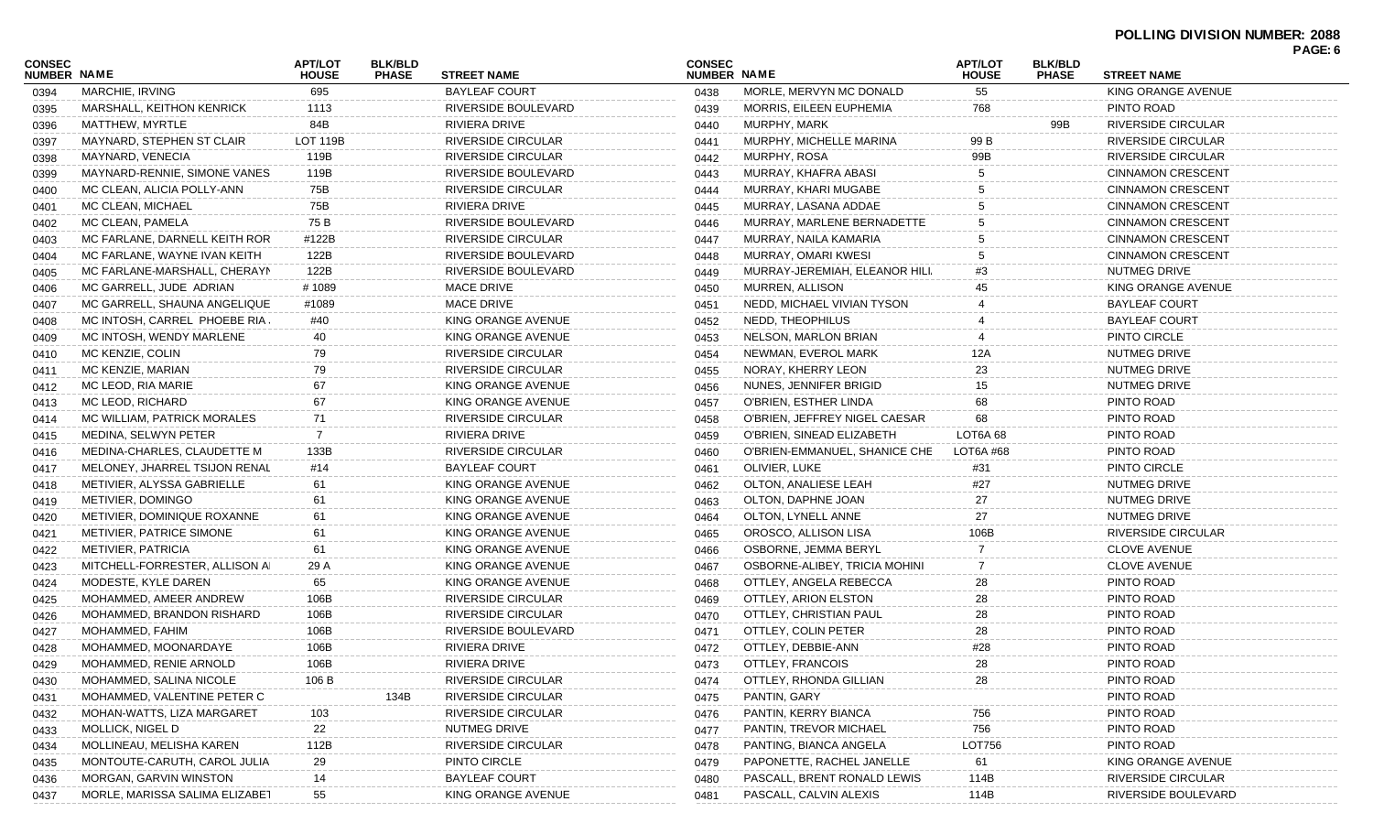| <b>CONSEC</b><br>NUMBER NAME |                                  | <b>APT/LOT</b><br><b>HOUSE</b> | <b>BLK/BLD</b><br><b>PHASE</b> | <b>STREET NAME</b>        | <b>CONSEC</b><br>NUMBER NAME |                               | <b>APT/LOT</b><br><b>HOUSE</b> | <b>BLK/BLD</b><br><b>PHASE</b> | <b>STREET NAME</b>        |  |
|------------------------------|----------------------------------|--------------------------------|--------------------------------|---------------------------|------------------------------|-------------------------------|--------------------------------|--------------------------------|---------------------------|--|
| 0394                         | MARCHIE, IRVING                  | 695                            |                                | <b>BAYLEAF COURT</b>      | 0438                         | MORLE, MERVYN MC DONALD       | 55                             |                                | KING ORANGE AVENUE        |  |
| 0395                         | <b>MARSHALL, KEITHON KENRICK</b> | 1113                           |                                | RIVERSIDE BOULEVARD       | 0439                         | MORRIS, EILEEN EUPHEMIA       | 768                            |                                | PINTO ROAD                |  |
| 0396                         | MATTHEW, MYRTLE                  | 84B                            |                                | RIVIERA DRIVE             | 0440                         | MURPHY, MARK                  |                                | 99B                            | <b>RIVERSIDE CIRCULAR</b> |  |
| 0397                         | MAYNARD, STEPHEN ST CLAIR        | <b>LOT 119B</b>                |                                | RIVERSIDE CIRCULAR        | 0441                         | MURPHY, MICHELLE MARINA       | 99 B                           |                                | <b>RIVERSIDE CIRCULAR</b> |  |
| 0398                         | MAYNARD, VENECIA                 | 119B                           |                                | RIVERSIDE CIRCULAR        | 0442                         | MURPHY, ROSA                  | 99B                            |                                | <b>RIVERSIDE CIRCULAR</b> |  |
| 0399                         | MAYNARD-RENNIE, SIMONE VANES     | 119B                           |                                | RIVERSIDE BOULEVARD       | 0443                         | MURRAY, KHAFRA ABASI          |                                |                                | <b>CINNAMON CRESCENT</b>  |  |
| 0400                         | MC CLEAN, ALICIA POLLY-ANN       | 75B                            |                                | RIVERSIDE CIRCULAR        | 0444                         | MURRAY, KHARI MUGABE          |                                |                                | <b>CINNAMON CRESCENT</b>  |  |
| 0401                         | MC CLEAN, MICHAEL                | 75B                            |                                | <b>RIVIERA DRIVE</b>      | 0445                         | MURRAY, LASANA ADDAE          |                                |                                | <b>CINNAMON CRESCENT</b>  |  |
| 0402                         | MC CLEAN, PAMELA                 | 75 B                           |                                | RIVERSIDE BOULEVARD       | 0446                         | MURRAY, MARLENE BERNADETTE    |                                |                                | <b>CINNAMON CRESCENT</b>  |  |
| 0403                         | MC FARLANE, DARNELL KEITH ROR    | #122B                          |                                | RIVERSIDE CIRCULAR        | 0447                         | MURRAY, NAILA KAMARIA         |                                |                                | <b>CINNAMON CRESCENT</b>  |  |
| 0404                         | MC FARLANE, WAYNE IVAN KEITH     | 122B                           |                                | RIVERSIDE BOULEVARD       | 0448                         | MURRAY, OMARI KWESI           |                                |                                | <b>CINNAMON CRESCENT</b>  |  |
| 0405                         | MC FARLANE-MARSHALL, CHERAYN     | 122B                           |                                | RIVERSIDE BOULEVARD       | 0449                         | MURRAY-JEREMIAH, ELEANOR HILI | #3                             |                                | NUTMEG DRIVE              |  |
| 0406                         | MC GARRELL, JUDE ADRIAN          | #1089                          |                                | <b>MACE DRIVE</b>         | 0450                         | MURREN, ALLISON               |                                |                                | KING ORANGE AVENUE        |  |
| 0407                         | MC GARRELL, SHAUNA ANGELIQUE     | #1089                          |                                | <b>MACE DRIVE</b>         | 0451                         | NEDD, MICHAEL VIVIAN TYSON    |                                |                                | <b>BAYLEAF COURT</b>      |  |
| 0408                         | MC INTOSH, CARREL PHOEBE RIA,    | #40                            |                                | KING ORANGE AVENUE        | 0452                         | NEDD, THEOPHILUS              |                                |                                | <b>BAYLEAF COURT</b>      |  |
| 0409                         | MC INTOSH, WENDY MARLENE         | 40                             |                                | KING ORANGE AVENUE        | 0453                         | NELSON, MARLON BRIAN          |                                |                                | PINTO CIRCLE              |  |
| 0410                         | MC KENZIE, COLIN                 | 79                             |                                | RIVERSIDE CIRCULAR        | 0454                         | NEWMAN, EVEROL MARK           | 12A                            |                                | NUTMEG DRIVE              |  |
| 0411                         | MC KENZIE, MARIAN                | 79                             |                                | RIVERSIDE CIRCULAR        | 0455                         | NORAY, KHERRY LEON            | 23                             |                                | NUTMEG DRIVE              |  |
| 0412                         | MC LEOD, RIA MARIE               | 67                             |                                | KING ORANGE AVENUE        | 0456                         | NUNES, JENNIFER BRIGID        | 15                             |                                | NUTMEG DRIVE              |  |
| 0413                         | MC LEOD, RICHARD                 | 67                             |                                | KING ORANGE AVENUE        | 0457                         | O'BRIEN, ESTHER LINDA         | 68                             |                                | PINTO ROAD                |  |
| 0414                         | MC WILLIAM, PATRICK MORALES      | 71                             |                                | RIVERSIDE CIRCULAR        | 0458                         | O'BRIEN, JEFFREY NIGEL CAESAR | 68                             |                                | PINTO ROAD                |  |
| 0415                         | MEDINA, SELWYN PETER             | $\overline{7}$                 |                                | <b>RIVIERA DRIVE</b>      | 0459                         | O'BRIEN, SINEAD ELIZABETH     | LOT6A <sub>68</sub>            |                                | PINTO ROAD                |  |
| 0416                         | MEDINA-CHARLES, CLAUDETTE M      | 133B                           |                                | RIVERSIDE CIRCULAR        | 0460                         | O'BRIEN-EMMANUEL, SHANICE CHE | LOT6A #68                      |                                | PINTO ROAD                |  |
| 0417                         | MELONEY, JHARREL TSIJON RENAL    | #14                            |                                | <b>BAYLEAF COURT</b>      | 0461                         | OLIVIER, LUKE                 | #31                            |                                | PINTO CIRCLE              |  |
| 0418                         | METIVIER, ALYSSA GABRIELLE       | 61                             |                                | KING ORANGE AVENUE        | 0462                         | OLTON, ANALIESE LEAH          | #27                            |                                | NUTMEG DRIVE              |  |
| 0419                         | METIVIER, DOMINGO                | 61                             |                                | KING ORANGE AVENUE        | 0463                         | OLTON, DAPHNE JOAN            | 27                             |                                | NUTMEG DRIVE              |  |
| 0420                         | METIVIER, DOMINIQUE ROXANNE      | 61                             |                                | KING ORANGE AVENUE        | 0464                         | OLTON, LYNELL ANNE            | 27                             |                                | NUTMEG DRIVE              |  |
| 0421                         | METIVIER, PATRICE SIMONE         | 61                             |                                | KING ORANGE AVENUE        | 0465                         | OROSCO, ALLISON LISA          | 106B                           |                                | <b>RIVERSIDE CIRCULAR</b> |  |
| 0422                         | METIVIER, PATRICIA               | 61                             |                                | KING ORANGE AVENUE        | 0466                         | OSBORNE, JEMMA BERYL          |                                |                                | <b>CLOVE AVENUE</b>       |  |
| 0423                         | MITCHELL-FORRESTER, ALLISON AI   | 29 A                           |                                | KING ORANGE AVENUE        | 0467                         | OSBORNE-ALIBEY, TRICIA MOHINI |                                |                                | <b>CLOVE AVENUE</b>       |  |
| 0424                         | MODESTE, KYLE DAREN              | 65                             |                                | KING ORANGE AVENUE        | 0468                         | OTTLEY, ANGELA REBECCA        | 28                             |                                | PINTO ROAD                |  |
| 0425                         | MOHAMMED, AMEER ANDREW           | 106B                           |                                | RIVERSIDE CIRCULAR        | 0469                         | OTTLEY, ARION ELSTON          | 28                             |                                | PINTO ROAD                |  |
| 0426                         | MOHAMMED, BRANDON RISHARD        | 106B                           |                                | RIVERSIDE CIRCULAR        | 0470                         | OTTLEY, CHRISTIAN PAUL        | 28                             |                                | PINTO ROAD                |  |
| 0427                         | MOHAMMED, FAHIM                  | 106B                           |                                | RIVERSIDE BOULEVARD       | 0471                         | OTTLEY, COLIN PETER           | 28                             |                                | PINTO ROAD                |  |
| 0428                         | MOHAMMED, MOONARDAYE             | 106B                           |                                | RIVIERA DRIVE             | 0472                         | OTTLEY, DEBBIE-ANN            | #28                            |                                | PINTO ROAD                |  |
| 0429                         | MOHAMMED, RENIE ARNOLD           | 106B                           |                                | RIVIERA DRIVE             | 0473                         | OTTLEY, FRANCOIS              |                                |                                | PINTO ROAD                |  |
| 0430                         | MOHAMMED, SALINA NICOLE          | 106 B                          |                                | <b>RIVERSIDE CIRCULAR</b> | 0474                         | OTTLEY, RHONDA GILLIAN        | 28                             |                                | PINTO ROAD                |  |
| 0431                         | MOHAMMED, VALENTINE PETER C      |                                | 134B                           | <b>RIVERSIDE CIRCULAR</b> | 0475                         | PANTIN, GARY                  |                                |                                | PINTO ROAD                |  |
| 0432                         | MOHAN-WATTS, LIZA MARGARET       | 103                            |                                | RIVERSIDE CIRCULAR        | 0476                         | PANTIN, KERRY BIANCA          | 756                            |                                | PINTO ROAD                |  |
|                              | MOLLICK, NIGEL D                 |                                |                                | NUTMEG DRIVE              |                              | PANTIN, TREVOR MICHAEL        | 756                            |                                | PINTO ROAD                |  |
| 0433                         | MOLLINEAU, MELISHA KAREN         | 22<br>112B                     |                                | <b>RIVERSIDE CIRCULAR</b> | 0477                         | PANTING, BIANCA ANGELA        | LOT756                         |                                | PINTO ROAD                |  |
| 0434                         | MONTOUTE-CARUTH, CAROL JULIA     |                                |                                | PINTO CIRCLE              | 0478                         | PAPONETTE, RACHEL JANELLE     | 61                             |                                | KING ORANGE AVENUE        |  |
| 0435                         | <b>MORGAN, GARVIN WINSTON</b>    | 29                             |                                | <b>BAYLEAF COURT</b>      | 0479                         | PASCALL, BRENT RONALD LEWIS   |                                |                                |                           |  |
| 0436                         |                                  |                                |                                |                           | 0480                         |                               | 114B                           |                                | RIVERSIDE CIRCULAR        |  |
| 0437                         | MORLE, MARISSA SALIMA ELIZABET   | 55                             |                                | KING ORANGE AVENUE        | 0481                         | PASCALL, CALVIN ALEXIS        | 114B                           |                                | RIVERSIDE BOULEVARD       |  |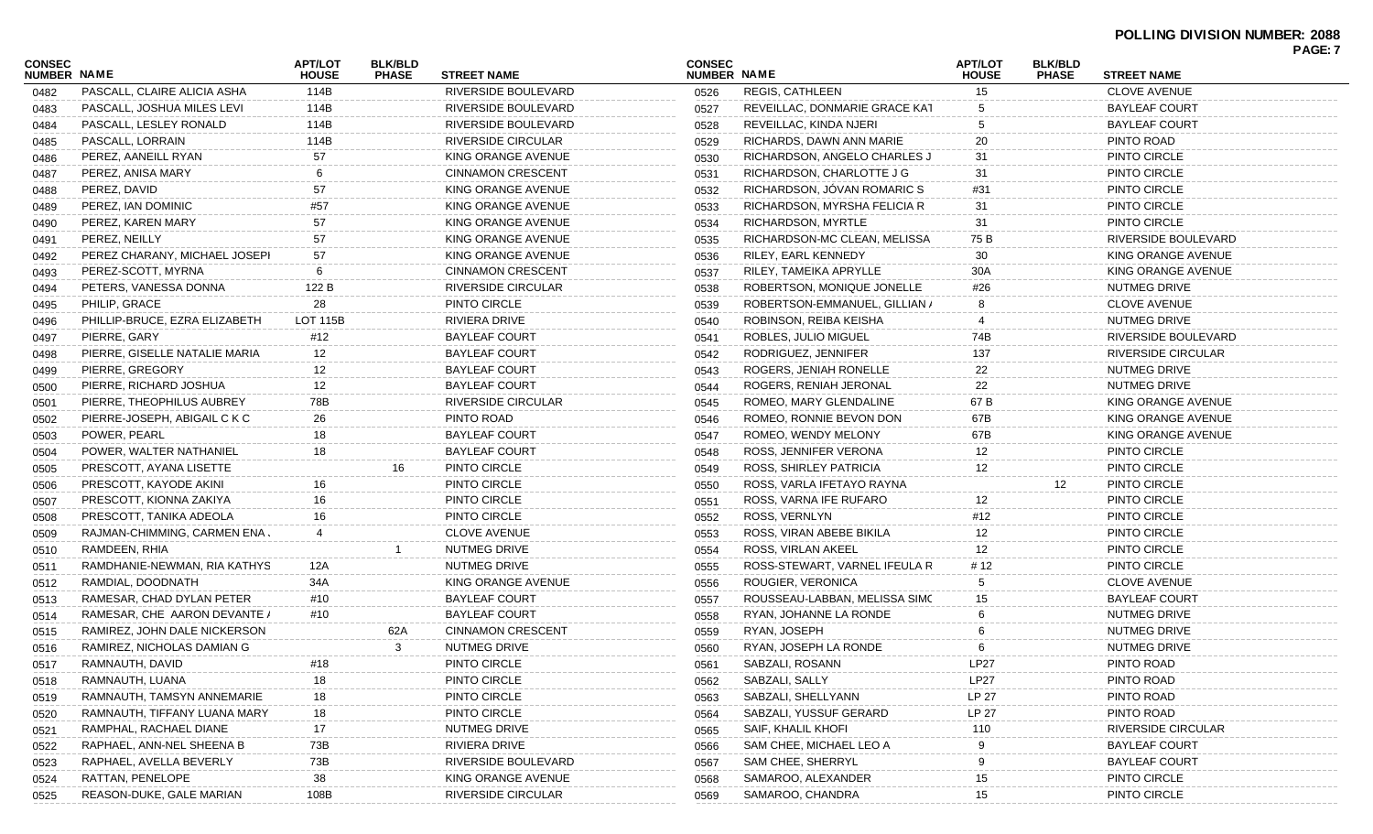| CONSEC<br><b>NUMBER NAME</b> |                               | <b>APT/LOT</b><br><b>HOUSE</b> | <b>BLK/BLD</b><br><b>PHASE</b> | <b>STREET NAME</b>        | <b>CONSEC</b><br>NUMBER NAME |                               | <b>APT/LOT</b><br><b>HOUSE</b> | <b>BLK/BLD</b><br><b>PHASE</b> | <b>STREET NAME</b>   | <b>FAGE.</b> 1 |
|------------------------------|-------------------------------|--------------------------------|--------------------------------|---------------------------|------------------------------|-------------------------------|--------------------------------|--------------------------------|----------------------|----------------|
| 0482                         | PASCALL, CLAIRE ALICIA ASHA   | 114B                           |                                | RIVERSIDE BOULEVARD       | 0526                         | REGIS, CATHLEEN               | 15                             |                                | <b>CLOVE AVENUE</b>  |                |
| 0483                         | PASCALL, JOSHUA MILES LEVI    | 114B                           |                                | RIVERSIDE BOULEVARD       | 0527                         | REVEILLAC, DONMARIE GRACE KAT |                                |                                | BAYLEAF COURT        |                |
| 0484                         | PASCALL, LESLEY RONALD        | 114B                           |                                | RIVERSIDE BOULEVARD       | 0528                         | REVEILLAC, KINDA NJERI        |                                |                                | BAYLEAF COURT        |                |
| 0485                         | PASCALL, LORRAIN              | 114B                           |                                | RIVERSIDE CIRCULAR        | 0529                         | RICHARDS, DAWN ANN MARIE      | 20                             |                                | PINTO ROAD           |                |
| 0486                         | PEREZ, AANEILL RYAN           | 57                             |                                | KING ORANGE AVENUE        | 0530                         | RICHARDSON, ANGELO CHARLES J  | 31                             |                                | PINTO CIRCLE         |                |
| 0487                         | PEREZ, ANISA MARY             | 6                              |                                | <b>CINNAMON CRESCENT</b>  | 0531                         | RICHARDSON, CHARLOTTE J G     | 31                             |                                | PINTO CIRCLE         |                |
| 0488                         | PEREZ, DAVID                  | 57                             |                                | KING ORANGE AVENUE        | 0532                         | RICHARDSON, JÓVAN ROMARIC S   | #31                            |                                | PINTO CIRCLE         |                |
| 0489                         | PEREZ, IAN DOMINIC            | #57                            |                                | KING ORANGE AVENUE        | 0533                         | RICHARDSON, MYRSHA FELICIA R  | 31                             |                                | PINTO CIRCLE         |                |
| 0490                         | PEREZ, KAREN MARY             | 57                             |                                | KING ORANGE AVENUE        | 0534                         | RICHARDSON, MYRTLE            | 31                             |                                | PINTO CIRCLE         |                |
| 0491                         | PEREZ, NEILLY                 | 57                             |                                | KING ORANGE AVENUE        | 0535                         | RICHARDSON-MC CLEAN, MELISSA  | 75 B                           |                                | RIVERSIDE BOULEVARD  |                |
| 0492                         | PEREZ CHARANY, MICHAEL JOSEPH | 57                             |                                | KING ORANGE AVENUE        | 0536                         | RILEY, EARL KENNEDY           | 30                             |                                | KING ORANGE AVENUE   |                |
| 0493                         | PEREZ-SCOTT, MYRNA            |                                |                                | <b>CINNAMON CRESCENT</b>  | 0537                         | RILEY, TAMEIKA APRYLLE        | 30A                            |                                | KING ORANGE AVENUE   |                |
| 0494                         | PETERS, VANESSA DONNA         | 122 B                          |                                | RIVERSIDE CIRCULAR        | 0538                         | ROBERTSON, MONIQUE JONELLE    | #26                            |                                | NUTMEG DRIVE         |                |
| 0495                         | PHILIP, GRACE                 | 28                             |                                | PINTO CIRCLE              | 0539                         | ROBERTSON-EMMANUEL, GILLIAN / |                                |                                | <b>CLOVE AVENUE</b>  |                |
| 0496                         | PHILLIP-BRUCE, EZRA ELIZABETH | LOT 115B                       |                                | RIVIERA DRIVE             | 0540                         | ROBINSON, REIBA KEISHA        |                                |                                | NUTMEG DRIVE         |                |
| 0497                         | PIERRE, GARY                  | #12                            |                                | <b>BAYLEAF COURT</b>      | 0541                         | ROBLES, JULIO MIGUEL          | 74B                            |                                | RIVERSIDE BOULEVARD  |                |
| 0498                         | PIERRE, GISELLE NATALIE MARIA | 12                             |                                | <b>BAYLEAF COURT</b>      | 0542                         | RODRIGUEZ, JENNIFER           | 137                            |                                | RIVERSIDE CIRCULAR   |                |
| 0499                         | PIERRE, GREGORY               | 12                             |                                | <b>BAYLEAF COURT</b>      | 0543                         | ROGERS, JENIAH RONELLE        | 22                             |                                | NUTMEG DRIVE         |                |
| 0500                         | PIERRE, RICHARD JOSHUA        | 12                             |                                | <b>BAYLEAF COURT</b>      | 0544                         | ROGERS, RENIAH JERONAL        | 22                             |                                | <b>NUTMEG DRIVE</b>  |                |
| 0501                         | PIERRE, THEOPHILUS AUBREY     | 78B                            |                                | RIVERSIDE CIRCULAR        | 0545                         | ROMEO, MARY GLENDALINE        | 67 B                           |                                | KING ORANGE AVENUE   |                |
| 0502                         | PIERRE-JOSEPH, ABIGAIL C K C  | 26                             |                                | PINTO ROAD                | 0546                         | ROMEO, RONNIE BEVON DON       | 67B                            |                                | KING ORANGE AVENUE   |                |
| 0503                         | POWER, PEARL                  | 18                             |                                | <b>BAYLEAF COURT</b>      | 0547                         | ROMEO, WENDY MELONY           | 67B                            |                                | KING ORANGE AVENUE   |                |
| 0504                         | POWER, WALTER NATHANIEL       | 18                             |                                | <b>BAYLEAF COURT</b>      | 0548                         | ROSS, JENNIFER VERONA         | 12                             |                                | PINTO CIRCLE         |                |
| 0505                         | PRESCOTT, AYANA LISETTE       |                                | 16                             | PINTO CIRCLE              | 0549                         | ROSS, SHIRLEY PATRICIA        | 12                             |                                | PINTO CIRCLE         |                |
| 0506                         | PRESCOTT, KAYODE AKINI        | 16                             |                                | PINTO CIRCLE              | 0550                         | ROSS, VARLA IFETAYO RAYNA     |                                | 12                             | PINTO CIRCLE         |                |
| 0507                         | PRESCOTT, KIONNA ZAKIYA       | 16                             |                                | PINTO CIRCLE              | 0551                         | ROSS, VARNA IFE RUFARO        | 12                             |                                | PINTO CIRCLE         |                |
| 0508                         | PRESCOTT, TANIKA ADEOLA       | 16                             |                                | PINTO CIRCLE              | 0552                         | ROSS, VERNLYN                 | #12                            |                                | PINTO CIRCLE         |                |
| 0509                         | RAJMAN-CHIMMING, CARMEN ENA . |                                |                                | <b>CLOVE AVENUE</b>       | 0553                         | ROSS, VIRAN ABEBE BIKILA      | 12                             |                                | PINTO CIRCLE         |                |
| 0510                         | RAMDEEN, RHIA                 |                                |                                | NUTMEG DRIVE              | 0554                         | ROSS, VIRLAN AKEEL            | 12                             |                                | PINTO CIRCLE         |                |
| 0511                         | RAMDHANIE-NEWMAN, RIA KATHYS  | 12A                            |                                | NUTMEG DRIVE              | 0555                         | ROSS-STEWART, VARNEL IFEULA R | # 12                           |                                | PINTO CIRCLE         |                |
| 0512                         | RAMDIAL, DOODNATH             | 34A                            |                                | KING ORANGE AVENUE        | 0556                         | ROUGIER, VERONICA             |                                |                                | <b>CLOVE AVENUE</b>  |                |
| 0513                         | RAMESAR, CHAD DYLAN PETER     | #10                            |                                | <b>BAYLEAF COURT</b>      | 0557                         | ROUSSEAU-LABBAN, MELISSA SIMC | 15                             |                                | <b>BAYLEAF COURT</b> |                |
| 0514                         | RAMESAR, CHE AARON DEVANTE /  | #10                            |                                | <b>BAYLEAF COURT</b>      | 0558                         | RYAN, JOHANNE LA RONDE        |                                |                                | NUTMEG DRIVE         |                |
| 0515                         | RAMIREZ, JOHN DALE NICKERSON  |                                | 62A                            | <b>CINNAMON CRESCENT</b>  | 0559                         | RYAN, JOSEPH                  |                                |                                | NUTMEG DRIVE         |                |
| 0516                         | RAMIREZ, NICHOLAS DAMIAN G    |                                | 3                              | NUTMEG DRIVE              | 0560                         | RYAN, JOSEPH LA RONDE         |                                |                                | NUTMEG DRIVE         |                |
| 0517                         | RAMNAUTH, DAVID               | #18                            |                                | PINTO CIRCLE              | 0561                         | SABZALI, ROSANN               | LP27                           |                                | PINTO ROAD           |                |
| 0518                         | RAMNAUTH, LUANA               | 18                             |                                | PINTO CIRCLE              | 0562                         | SABZALI, SALLY                | LP27                           |                                | PINTO ROAD           |                |
| 0519                         | RAMNAUTH, TAMSYN ANNEMARIE    | 18                             |                                | PINTO CIRCLE              | 0563                         | SABZALI, SHELLYANN            | LP 27                          |                                | PINTO ROAD           |                |
| 0520                         | RAMNAUTH, TIFFANY LUANA MARY  | 18                             |                                | PINTO CIRCLE              | 0564                         | SABZALI, YUSSUF GERARD        | LP 27                          |                                | PINTO ROAD           |                |
| 0521                         | RAMPHAL, RACHAEL DIANE        | 17                             |                                | NUTMEG DRIVE              | 0565                         | SAIF, KHALIL KHOFI            | 110                            |                                | RIVERSIDE CIRCULAR   |                |
| 0522                         | RAPHAEL, ANN-NEL SHEENA B     | 73B                            |                                | RIVIERA DRIVE             | 0566                         | SAM CHEE, MICHAEL LEO A       |                                |                                | <b>BAYLEAF COURT</b> |                |
| 0523                         | RAPHAEL, AVELLA BEVERLY       | 73B                            |                                | RIVERSIDE BOULEVARD       | 0567                         | SAM CHEE, SHERRYL             |                                |                                | <b>BAYLEAF COURT</b> |                |
| 0524                         | RATTAN, PENELOPE              | 38                             |                                | KING ORANGE AVENUE        | 0568                         | SAMAROO, ALEXANDER            | 15                             |                                | PINTO CIRCLE         |                |
| 0525                         | REASON-DUKE, GALE MARIAN      | 108B                           |                                | <b>RIVERSIDE CIRCULAR</b> | 0569                         | SAMAROO, CHANDRA              | 15                             |                                | PINTO CIRCLE         |                |
|                              |                               |                                |                                |                           |                              |                               |                                |                                |                      |                |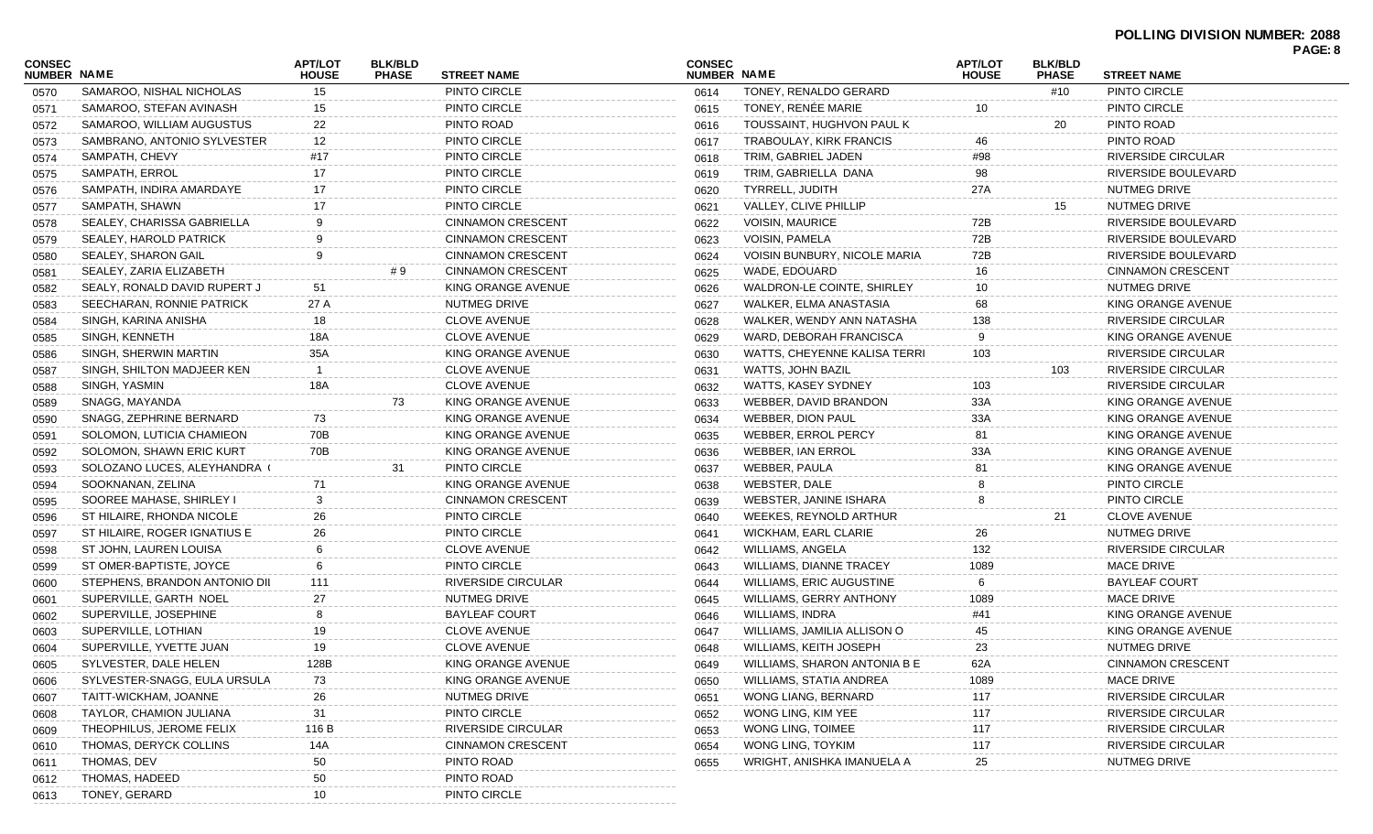## **POLLING DIVISION NUMBER: 2088**

|                              |                               |                                |                                |                           |                              |                                     |                                |                                |                           | PAGE: 8 |
|------------------------------|-------------------------------|--------------------------------|--------------------------------|---------------------------|------------------------------|-------------------------------------|--------------------------------|--------------------------------|---------------------------|---------|
| <b>CONSEC</b><br>NUMBER NAME |                               | <b>APT/LOT</b><br><b>HOUSE</b> | <b>BLK/BLD</b><br><b>PHASE</b> | <b>STREET NAME</b>        | <b>CONSEC</b><br>NUMBER NAME |                                     | <b>APT/LOT</b><br><b>HOUSE</b> | <b>BLK/BLD</b><br><b>PHASE</b> | <b>STREET NAME</b>        |         |
| 0570                         | SAMAROO. NISHAL NICHOLAS      | 15                             |                                | PINTO CIRCLE              | 0614                         | TONEY, RENALDO GERARD               |                                | #10                            | PINTO CIRCLE              |         |
| 0571                         | SAMAROO, STEFAN AVINASH       | 15                             |                                | PINTO CIRCLE              | 0615                         | TONEY, RENÉE MARIE                  | 10                             |                                | PINTO CIRCLE              |         |
| 0572                         | SAMAROO, WILLIAM AUGUSTUS     | 22                             |                                | PINTO ROAD                | 0616                         | TOUSSAINT, HUGHVON PAUL K           |                                | 20                             | PINTO ROAD                |         |
| 0573                         | SAMBRANO, ANTONIO SYLVESTER   | 12                             |                                | PINTO CIRCLE              | 0617                         | TRABOULAY, KIRK FRANCIS             | 46                             |                                | PINTO ROAD                |         |
| 0574                         | SAMPATH, CHEVY                | #17                            |                                | PINTO CIRCLE              | 0618                         | TRIM, GABRIEL JADEN                 | #98                            |                                | <b>RIVERSIDE CIRCULAR</b> |         |
| 0575                         | SAMPATH, ERROL                | 17                             |                                | PINTO CIRCLE              | 0619                         | TRIM, GABRIELLA DANA                | 98                             |                                | RIVERSIDE BOULEVARD       |         |
| 0576                         | SAMPATH, INDIRA AMARDAYE      | 17                             |                                | PINTO CIRCLE              | 0620                         | TYRRELL, JUDITH                     | 27A                            |                                | <b>NUTMEG DRIVE</b>       |         |
| 0577                         | SAMPATH, SHAWN                | 17                             |                                | PINTO CIRCLE              | 0621                         | <b>VALLEY, CLIVE PHILLIP</b>        |                                | 15                             | NUTMEG DRIVE              |         |
| 0578                         | SEALEY, CHARISSA GABRIELLA    | <b>q</b>                       |                                | <b>CINNAMON CRESCENT</b>  | 0622                         | <b>VOISIN, MAURICE</b>              | 72B                            |                                | RIVERSIDE BOULEVARD       |         |
| 0579                         | SEALEY, HAROLD PATRICK        |                                |                                | <b>CINNAMON CRESCENT</b>  | 0623                         | <b>VOISIN, PAMELA</b>               | 72B                            |                                | RIVERSIDE BOULEVARD       |         |
| 0580                         | SEALEY, SHARON GAIL           | 9                              |                                | <b>CINNAMON CRESCENT</b>  | 0624                         | VOISIN BUNBURY, NICOLE MARIA        | 72B                            |                                | RIVERSIDE BOULEVARD       |         |
| 0581                         | SEALEY, ZARIA ELIZABETH       |                                | #9                             | <b>CINNAMON CRESCENT</b>  | 0625                         | WADE, EDOUARD                       | 16                             |                                | <b>CINNAMON CRESCENT</b>  |         |
| 0582                         | SEALY, RONALD DAVID RUPERT J  | 51                             |                                | KING ORANGE AVENUE        | 0626                         | WALDRON-LE COINTE, SHIRLEY          | 10                             |                                | NUTMEG DRIVE              |         |
| 0583                         | SEECHARAN, RONNIE PATRICK     | 27 A                           |                                | NUTMEG DRIVE              | 0627                         | WALKER, ELMA ANASTASIA              | 68                             |                                | KING ORANGE AVENUE        |         |
| 0584                         | SINGH, KARINA ANISHA          | 18                             |                                | <b>CLOVE AVENUE</b>       | 0628                         | WALKER, WENDY ANN NATASHA           | 138                            |                                | <b>RIVERSIDE CIRCULAR</b> |         |
| 0585                         | SINGH, KENNETH                | 18A                            |                                | <b>CLOVE AVENUE</b>       | 0629                         | WARD, DEBORAH FRANCISCA             | 9                              |                                | KING ORANGE AVENUE        |         |
| 0586                         | SINGH, SHERWIN MARTIN         | 35A                            |                                | KING ORANGE AVENUE        | 0630                         | <b>WATTS, CHEYENNE KALISA TERRI</b> | 103                            |                                | <b>RIVERSIDE CIRCULAR</b> |         |
| 0587                         | SINGH, SHILTON MADJEER KEN    |                                |                                | <b>CLOVE AVENUE</b>       | 0631                         | WATTS, JOHN BAZIL                   |                                | 103                            | <b>RIVERSIDE CIRCULAR</b> |         |
| 0588                         | SINGH, YASMIN                 | 18A                            |                                | <b>CLOVE AVENUE</b>       | 0632                         | WATTS, KASEY SYDNEY                 | 103                            |                                | <b>RIVERSIDE CIRCULAR</b> |         |
| 0589                         | SNAGG, MAYANDA                |                                | 73                             | KING ORANGE AVENUE        | 0633                         | WEBBER, DAVID BRANDON               | 33A                            |                                | KING ORANGE AVENUE        |         |
| 0590                         | SNAGG, ZEPHRINE BERNARD       | 73                             |                                | KING ORANGE AVENUE        | 0634                         | <b>WEBBER, DION PAUL</b>            | 33A                            |                                | KING ORANGE AVENUE        |         |
| 0591                         | SOLOMON, LUTICIA CHAMIEON     | 70B                            |                                | KING ORANGE AVENUE        | 0635                         | WEBBER, ERROL PERCY                 | 81                             |                                | KING ORANGE AVENUE        |         |
| 0592                         | SOLOMON, SHAWN ERIC KURT      | 70B                            |                                | KING ORANGE AVENUE        | 0636                         | <b>WEBBER, IAN ERROL</b>            | 33A                            |                                | KING ORANGE AVENUE        |         |
| 0593                         | SOLOZANO LUCES, ALEYHANDRA (  |                                | 31                             | PINTO CIRCLE              | 0637                         | WEBBER, PAULA                       | 81                             |                                | KING ORANGE AVENUE        |         |
| 0594                         | SOOKNANAN, ZELINA             | 71                             |                                | KING ORANGE AVENUE        | 0638                         | WEBSTER, DALE                       |                                |                                | PINTO CIRCLE              |         |
| 0595                         | SOOREE MAHASE, SHIRLEY I      | 3                              |                                | <b>CINNAMON CRESCENT</b>  | 0639                         | WEBSTER, JANINE ISHARA              |                                |                                | PINTO CIRCLE              |         |
| 0596                         | ST HILAIRE, RHONDA NICOLE     | 26                             |                                | PINTO CIRCLE              | 0640                         | WEEKES, REYNOLD ARTHUR              |                                | 21                             | <b>CLOVE AVENUE</b>       |         |
| 0597                         | ST HILAIRE, ROGER IGNATIUS E  | 26                             |                                | PINTO CIRCLE              | 0641                         | <b>WICKHAM, EARL CLARIE</b>         | 26                             |                                | NUTMEG DRIVE              |         |
| 0598                         | ST JOHN, LAUREN LOUISA        |                                |                                | <b>CLOVE AVENUE</b>       | 0642                         | <b>WILLIAMS, ANGELA</b>             | 132                            |                                | <b>RIVERSIDE CIRCULAR</b> |         |
| 0599                         | ST OMER-BAPTISTE, JOYCE       | 6                              |                                | PINTO CIRCLE              | 0643                         | <b>WILLIAMS, DIANNE TRACEY</b>      | 1089                           |                                | <b>MACE DRIVE</b>         |         |
| 0600                         | STEPHENS, BRANDON ANTONIO DII | 111                            |                                | RIVERSIDE CIRCULAR        | 0644                         | <b>WILLIAMS, ERIC AUGUSTINE</b>     | -6                             |                                | <b>BAYLEAF COURT</b>      |         |
| 0601                         | SUPERVILLE, GARTH NOEL        | 27                             |                                | NUTMEG DRIVE              | 0645                         | <b>WILLIAMS, GERRY ANTHONY</b>      | 1089                           |                                | <b>MACE DRIVE</b>         |         |
| 0602                         | SUPERVILLE, JOSEPHINE         |                                |                                | <b>BAYLEAF COURT</b>      | 0646                         | WILLIAMS, INDRA                     | #41                            |                                | KING ORANGE AVENUE        |         |
| 0603                         | SUPERVILLE, LOTHIAN           | 19                             |                                | <b>CLOVE AVENUE</b>       | 0647                         | WILLIAMS, JAMILIA ALLISON O         | 45                             |                                | KING ORANGE AVENUE        |         |
| 0604                         | SUPERVILLE, YVETTE JUAN       | 19                             |                                | <b>CLOVE AVENUE</b>       | 0648                         | WILLIAMS, KEITH JOSEPH              | 23                             |                                | NUTMEG DRIVE              |         |
| 0605                         | SYLVESTER, DALE HELEN         | 128B                           |                                | KING ORANGE AVENUE        | 0649                         | WILLIAMS, SHARON ANTONIA B E        | 62A                            |                                | <b>CINNAMON CRESCENT</b>  |         |
| 0606                         | SYLVESTER-SNAGG, EULA URSULA  | 73                             |                                | KING ORANGE AVENUE        | 0650                         | WILLIAMS, STATIA ANDREA             | 1089                           |                                | MACE DRIVE                |         |
| 0607                         | TAITT-WICKHAM, JOANNE         | 26                             |                                | NUTMEG DRIVE              | 0651                         | WONG LIANG, BERNARD                 | 117                            |                                | <b>RIVERSIDE CIRCULAR</b> |         |
| 0608                         | TAYLOR, CHAMION JULIANA       | 31                             |                                | PINTO CIRCLE              | 0652                         | WONG LING, KIM YEE                  | 117                            |                                | <b>RIVERSIDE CIRCULAR</b> |         |
|                              | THEOPHILUS, JEROME FELIX      | 116 B                          |                                | <b>RIVERSIDE CIRCULAR</b> |                              | WONG LING, TOIMEE                   | 117                            |                                | <b>RIVERSIDE CIRCULAR</b> |         |
| 0609                         | THOMAS, DERYCK COLLINS        | 14A                            |                                | <b>CINNAMON CRESCENT</b>  | 0653<br>0654                 | WONG LING, TOYKIM                   | 117                            |                                | <b>RIVERSIDE CIRCULAR</b> |         |
| 0610                         | THOMAS, DEV                   | 50                             |                                | PINTO ROAD                | 0655                         | WRIGHT, ANISHKA IMANUELA A          | 25                             |                                | NUTMEG DRIVE              |         |
| 0611                         | THOMAS, HADEED                | 50                             |                                | PINTO ROAD                |                              |                                     |                                |                                |                           |         |
| 0612                         | TONEY, GERARD                 | 10                             |                                | PINTO CIRCLE              |                              |                                     |                                |                                |                           |         |
| 0613                         |                               |                                |                                |                           |                              |                                     |                                |                                |                           |         |